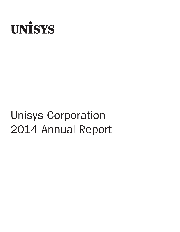

# Unisys Corporation 2014 Annual Report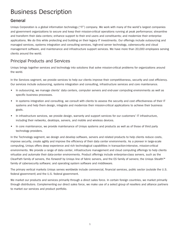# Business Description

### **General**

Unisys Corporation is a global information technology ("IT") company. We work with many of the world's largest companies and government organizations to secure and keep their mission-critical operations running at peak performance; streamline and transform their data centers; enhance support to their end users and constituents; and modernize their enterprise applications. We do this while protecting and building on their legacy IT investments. Our offerings include outsourcing and managed services, systems integration and consulting services, high-end server technology, cybersecurity and cloud management software, and maintenance and infrastructure support services. We have more than 20,000 employees serving clients around the world.

### Principal Products and Services

Unisys brings together services and technology into solutions that solve mission-critical problems for organizations around the world.

In the Services segment, we provide services to help our clients improve their competitiveness, security and cost efficiency. Our services include outsourcing, systems integration and consulting, infrastructure services and core maintenance.

- In outsourcing, we manage clients' data centers, computer servers and end-user computing environments as well as specific business processes.
- In systems integration and consulting, we consult with clients to assess the security and cost effectiveness of their IT systems and help them design, integrate and modernize their mission-critical applications to achieve their business goals.
- In infrastructure services, we provide design, warranty and support services for our customers' IT infrastructure, including their networks, desktops, servers, and mobile and wireless devices.
- In core maintenance, we provide maintenance of Unisys systems and products as well as of those of third party technology providers.

In the Technology segment, we design and develop software, servers and related products to help clients reduce costs, improve security, create agility and improve the efficiency of their data center environments. As a pioneer in large-scale computing, Unisys offers deep experience and rich technological capabilities in transaction-intensive, mission-critical environments. We provide a range of data center, infrastructure management and cloud computing offerings to help clients virtualize and automate their data-center environments. Product offerings include enterprise-class servers, such as the ClearPath family of servers, the *Forward!* by Unisys line of fabric servers, and the ES family of servers; the Unisys Stealth™ family of cybersecurity software; and operating system software and middleware.

The primary vertical markets Unisys serves worldwide include commercial, financial services, public sector (outside the U.S. federal government) and the U.S. federal government.

We market our products and services primarily through a direct sales force. In certain foreign countries, we market primarily through distributors. Complementing our direct sales force, we make use of a select group of resellers and alliance partners to market our services and product portfolio.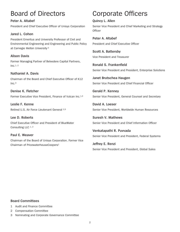# Board of Directors

**Peter A. Altabef** President and Chief Executive Officer of Unisys Corporation

#### **Jared L. Cohon**

President Emeritus and University Professor of Civil and Environmental Engineering and Engineering and Public Policy at Carnegie Mellon University <sup>2</sup>

**Alison Davis**

Former Managing Partner of Belvedere Capital Partners,  $Inc.<sup>1, 2</sup>$ 

#### **Nathaniel A. Davis**

Chairman of the Board and Chief Executive Officer of K12  $Inc.3$ 

**Denise K. Fletcher** Former Executive Vice President, Finance of Vulcan Inc.<sup>1,3</sup>

**Leslie F. Kenne** Retired U.S. Air Force Lieutenant General 2,3

**Lee D. Roberts** Chief Executive Officer and President of BlueWater Consulting LLC 1, 2

### **Paul E. Weaver**

Chairman of the Board of Unisys Corporation. Former Vice Chairman of PricewaterhouseCoopers1

# Corporate Officers

#### **Quincy L. Allen**

Senior Vice President and Chief Marketing and Strategy **Officer** 

**Peter A. Altabef** President and Chief Executive Officer

**Scott A. Battersby** Vice President and Treasurer

**Ronald S. Frankenfield** Senior Vice President and President, Enterprise Solutions

**Janet Brutschea Haugen** Senior Vice President and Chief Financial Officer

**Gerald P. Kenney** Senior Vice President, General Counsel and Secretary

**David A. Loeser** Senior Vice President, Worldwide Human Resources

**Suresh V. Mathews** Senior Vice President and Chief Information Officer

**Venkatapathi R. Puvvada** Senior Vice President and President, Federal Systems

**Jeffrey E. Renzi** Senior Vice President and President, Global Sales

#### **Board Committees**

- 1 Audit and Finance Committee
- 2 Compensation Committee
- 3 Nominating and Corporate Governance Committee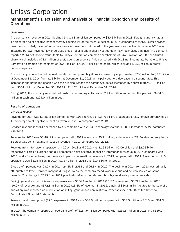### **Management's Discussion and Analysis of Financial Condition and Results of Operations**

#### **Overview**

The company's revenue in 2014 declined 3% to \$3.36 billion compared to \$3.46 billion in 2013. Foreign currency had a 1-percentage-point negative impact thereby causing 1% of the revenue decline in 2014 compared to 2013. Lower services revenue, particularly lower infrastructure services revenue, contributed to the year over year decline. Income in 2014 was impacted by lower revenue, lower services gross margins and higher investments in new technology offerings. The company reported 2014 net income attributable to Unisys Corporation common shareholders of \$44.0 million, or \$.89 per diluted share, which included \$73.8 million of pretax pension expense. This compared with 2013 net income attributable to Unisys Corporation common shareholders of \$92.3 million, or \$2.08 per diluted share, which included \$93.5 million in pretax pension expense.

The company's underfunded defined benefit pension plan obligations increased by approximately \$750 million to \$2.2 billion at December 31, 2014 from \$1.5 billion at December 31, 2013, principally due to a decrease in discount rates. This increase in the unfunded position was the principal reason the company's deficit increased by approximately \$788 million from \$664 million at December 31, 2013 to \$1,452 million at December 31, 2014.

During 2014, the company reported net cash from operating activities of \$121.4 million and ended the year with \$494.3 million in cash and \$224.0 million in debt.

#### **Results of operations**

#### *Company results*

Revenue for 2014 was \$3.36 billion compared with 2013 revenue of \$3.46 billion, a decrease of 3%. Foreign currency had a 1-percentage-point negative impact on revenue in 2014 compared with 2013.

Services revenue in 2014 decreased by 4% compared with 2013. Technology revenue in 2014 increased by 2% compared with 2013.

Revenue for 2013 was \$3.46 billion compared with 2012 revenue of \$3.71 billion, a decrease of 7%. Foreign currency had a 1-percentage-point negative impact on revenue in 2013 compared with 2012.

Revenue from international operations in 2014, 2013 and 2012 was \$1.98 billion, \$2.09 billion and \$2.25 billion, respectively. Foreign currency had a 1-percentage-point negative impact on international revenue in 2014 compared with 2013, and a 1-percentage-point negative impact on international revenue in 2013 compared with 2012. Revenue from U.S. operations was \$1.38 billion in 2014, \$1.37 billion in 2013 and \$1.46 billion in 2012.

Gross profit percent was 23.2% in 2014, 24.5% in 2013 and 26.3% in 2012. The decline in 2014 from 2013 was primarily attributable to lower Services margins during 2014 as the company faced lower revenue and delivery issues on some projects. The change in 2013 from 2012 principally reflects the relative mix of high-end enterprise server sales.

Selling, general and administrative expenses were \$554.1 million in 2014 (16.5% of revenue), \$559.4 million in 2013 (16.2% of revenue) and \$572.8 million in 2012 (15.5% of revenue). In 2012, a gain of \$10.6 million related to the sale of a subsidiary was recorded as a reduction of selling, general and administrative expense (see Note 15 of the Notes to Consolidated Financial Statements).

Research and development (R&D) expenses in 2014 were \$68.8 million compared with \$69.5 million in 2013 and \$81.5 million in 2012.

In 2014, the company reported an operating profit of \$154.9 million compared with \$219.5 million in 2013 and \$319.2 million in 2012.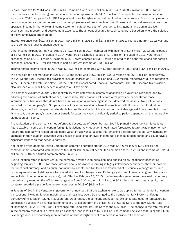Pension expense for 2014 was \$73.8 million compared with \$93.5 million in 2013 and \$108.2 million in 2012. For 2015, the company expects to recognize pension expense of approximately \$111.8 million. The expected increase in pension expense in 2015 compared with 2014 is principally due to higher amortization of net actuarial losses. The company records pension income or expense, as well as other employee-related costs such as payroll taxes and medical insurance costs, in operating income in the following income statement categories: cost of revenue; selling, general and administrative expenses; and research and development expenses. The amount allocated to each category is based on where the salaries of active employees are charged.

Interest expense was \$9.2 million in 2014, \$9.9 million in 2013 and \$27.5 million in 2012. The decline from 2012 was due to the company's debt reduction actions.

Other income (expense), net was expense of \$.2 million in 2014, compared with income of \$9.8 million 2013 and expense of \$37.6 million in 2012. Included in 2014 were foreign exchange losses of \$7.0 million. Included in 2013 were foreign exchange gains of \$10.4 million. Included in 2012 were charges of \$30.6 million related to the debt reductions and foreign exchange losses of \$8.1 million offset in part by interest income of \$10.3 million.

Income before income taxes in 2014 was \$145.5 million compared with \$219.4 million in 2013 and \$254.1 million in 2012.

The provision for income taxes in 2014, 2013 and 2012 was \$86.2 million, \$99.3 million and \$97.3 million, respectively. The 2013 and 2012 income tax provisions include charges of \$11.4 million and \$9.2 million, respectively, due to reductions in the UK income tax rate (see Note 6 of the Notes to Consolidated Financial Statements). The 2012 income tax provision also includes a \$5.6 million benefit related to a UK tax credit.

The company evaluates quarterly the realizability of its deferred tax assets by assessing its valuation allowance and by adjusting the amount of such allowance, if necessary. The company will record a tax provision or benefit for those international subsidiaries that do not have a full valuation allowance against their deferred tax assets. Any profit or loss recorded for the company's U.S. operations will have no provision or benefit associated with it due to its full valuation allowance, except with respect to refundable tax credits and withholding taxes not creditable against future taxable income. As a result, the company's provision or benefit for taxes may vary significantly period to period depending on the geographic distribution of income.

The realization of the company's net deferred tax assets as of December 31, 2014 is primarily dependent on forecasted future taxable income within certain foreign jurisdictions. Any reduction in estimated forecasted future taxable income may require the company to record an additional valuation allowance against the remaining deferred tax assets. Any increase or decrease in the valuation allowance would result in additional or lower income tax expense in such period and could have a significant impact on that period's earnings.

Net income attributable to Unisys Corporation common shareholders for 2014 was \$44.0 million, or \$.89 per diluted common share, compared with income of \$92.3 million, or \$2.08 per diluted common share, in 2013 and income of \$129.4 million, or \$2.84 per diluted common share, in 2012.

Due to inflation rates in recent years, the company's Venezuelan subsidiary has applied highly inflationary accounting beginning January 1, 2010. For those international subsidiaries operating in highly inflationary economies, the U.S. dollar is the functional currency, and as such, nonmonetary assets and liabilities are translated at historical exchange rates, and monetary assets and liabilities are translated at current exchange rates. Exchange gains and losses arising from translation are included in other income (expense), net. Effective February 13, 2013, the Venezuelan government devalued its currency, the bolivar, by resetting the official exchange rate from 4.30 to the U.S. dollar to 6.30 to the U.S. dollar. As a result, the company recorded a pretax foreign exchange loss in 2013 of \$6.5 million.

In January of 2014, the Venezuelan government announced that the exchange rate to be applied to the settlement of certain transactions, including foreign investments and royalties, would be changed to the Complementary System of Foreign Currency Administration (SICAD I) auction rate. As a result, the company changed the exchange rate used to remeasure its Venezuelan subsidiary's financial statements in U.S. dollars from the official rate of 6.3 bolivars to the new SICAD I rate. At December 31, 2014, the SICAD I exchange rate used was 12.0 bolivars to the U.S. dollar. The change in the rate resulted in the company recording a pretax foreign exchange loss in 2014 of \$7.4 million. The company believes that using the SICAD I exchange rate is economically representative of what it might expect to receive in a dividend transaction.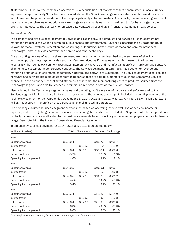At December 31, 2014, the company's operations in Venezuela had net monetary assets denominated in local currency equivalent to approximately \$8 million. As indicated above, the SICAD I exchange rate is determined by periodic auctions and, therefore, the potential exists for it to change significantly in future quarters. Additionally, the Venezuelan government may make further changes or introduce new exchange rate mechanisms, which could result in further changes in the exchange rate used by the company to remeasure its Venezuelan subsidiary's financial statements in U.S. dollars.

#### *Segment results*

The company has two business segments: Services and Technology. The products and services of each segment are marketed throughout the world to commercial businesses and governments. Revenue classifications by segment are as follows: Services – systems integration and consulting, outsourcing, infrastructure services and core maintenance; Technology – enterprise-class software and servers and other technology.

The accounting policies of each business segment are the same as those described in the summary of significant accounting policies. Intersegment sales and transfers are priced as if the sales or transfers were to third parties. Accordingly, the Technology segment recognizes intersegment revenue and manufacturing profit on hardware and software shipments to customers under Services contracts. The Services segment, in turn, recognizes customer revenue and marketing profit on such shipments of company hardware and software to customers. The Services segment also includes hardware and software products sourced from third parties that are sold to customers through the company's Services channels. In the company's consolidated statements of income, the manufacturing costs of products sourced from the Technology segment and sold to Services customers are reported in cost of revenue for Services.

Also included in the Technology segment's sales and operating profit are sales of hardware and software sold to the Services segment for internal use in Services engagements. The amount of such profit included in operating income of the Technology segment for the years ended December 31, 2014, 2013 and 2012, was \$17.0 million, \$6.0 million and \$11.5 million, respectively. The profit on these transactions is eliminated in Corporate.

The company evaluates business segment performance based on operating income exclusive of pension income or expense, restructuring charges and unusual and nonrecurring items, which are included in Corporate. All other corporate and centrally incurred costs are allocated to the business segments based principally on revenue, employees, square footage or usage. See Note 14 of the Notes to Consolidated Financial Statements.

Information by business segment for 2014, 2013 and 2012 is presented below:

| (millions of dollars)    | Total     | Eliminations | <b>Services</b> |         |
|--------------------------|-----------|--------------|-----------------|---------|
| 2014                     |           |              |                 |         |
| Customer revenue         | \$3,356.4 |              | \$2,887.7       | \$468.7 |
| Intersegment             |           | \$(112.3)    | $\cdot$         | 111.9   |
| Total revenue            | \$3,356.4 | \$ (112.3)   | \$2,888.1       | \$580.6 |
| Gross profit percent     | 23.2%     |              | 17.5%           | 56.3%   |
| Operating income percent | 4.6%      |              | 4.2%            | 19.1%   |
| 2013                     |           |              |                 |         |
| Customer revenue         | \$3,456.5 |              | \$2,996.1       | \$460.4 |
| Intersegment             |           | \$(122.5)    | 1.7             | 120.8   |
| Total revenue            | \$3,456.5 | \$(122.5)    | \$2,997.8       | \$581.2 |
| Gross profit percent     | 24.5%     |              | 19.7%           | 53.9%   |
| Operating income percent | 6.4%      |              | 6.2%            | 21.1%   |
| 2012                     |           |              |                 |         |
| Customer revenue         | \$3,706.4 |              | \$3,192.4       | \$514.0 |
| Intersegment             |           | \$(123.1)    | 3.8             | 119.3   |
| Total revenue            | \$3,706.4 | \$(123.1)    | \$3,196.2       | \$633.3 |
| Gross profit percent     | 26.3%     |              | 20.0%           | 63.9%   |
| Operating income percent | 8.6%      |              | 6.4%            | 33.1%   |

*Gross profit percent and operating income percent are as a percent of total revenue.*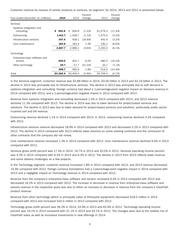Customer revenue by classes of similar products or services, by segment, for 2014, 2013 and 2012 is presented below:

|                                          |             |             | Percent    |           | Percent    |
|------------------------------------------|-------------|-------------|------------|-----------|------------|
| Year ended December 31 (millions)        | 2014        | 2013        | Change     | 2012      | Change     |
| Services                                 |             |             |            |           |            |
| Systems integration and<br>consulting    | Ś.<br>942.8 | Ŝ.<br>956.9 | (1.5)%     | \$1,079.3 | $(11.3)\%$ |
| Outsourcing                              | 1,412.7     | 1,428.7     | (1.1)%     | 1,475.5   | $(3.2)\%$  |
| Infrastructure services                  | 347.4       | 428.1       | $(18.9)\%$ | 442.4     | $(3.2)\%$  |
| Core maintenance                         | 184.8       | 182.4       | 1.3%       | 195.2     | (6.6)%     |
|                                          | 2,887.7     | 2,996.1     | (3.6)%     | 3,192.4   | (6.1)%     |
| Technology                               |             |             |            |           |            |
| Enterprise-class software and<br>servers | 429.0       | 402.7       | 6.5%       | 480.3     | $(16.2)\%$ |
| Other technology                         | 39.7        | 57.7        | $(31.2)\%$ | 33.7      | 71.2%      |
|                                          | 468.7       | 460.4       | 1.8%       | 514.0     | $(10.4)\%$ |
| Total                                    | \$3,356.4   | \$3,456.5   | (2.9)%     | \$3,706.4 | (6.7)%     |

In the Services segment, customer revenue was \$2.89 billion in 2014, \$3.00 billion in 2013 and \$3.19 billion in 2012. The decline in 2014 was principally due to infrastructure services. The decline in 2013 was principally due to soft demand in systems integration and consulting. Foreign currency had about a 1-percentage-point negative impact on Services revenue in 2014 compared with 2013, and a 1-percentage-point negative impact in 2013 compared with 2012.

Revenue from systems integration and consulting decreased 1.5% in 2014 compared with 2013, and 2013 revenue declined 11.3% compared with 2012. The decline in 2014 was due to lower demand for project-based services and solutions. The decline in 2013 was due to lower demand for project-based services and solutions, particularly public sector in-period sell and bill revenue.

Outsourcing revenue declined 1.1% in 2014 compared with 2013. In 2013, outsourcing revenue declined 3.2% compared with 2012.

Infrastructure services revenue decreased 18.9% in 2014 compared with 2013 and decreased 3.2% in 2013 compared with 2012. The decline in 2014 compared with 2013 reflects lower volumes on some existing contracts and the conclusion of other contracts that the company did not renew.

Core maintenance revenue increased 1.3% in 2014 compared with 2013. Core maintenance revenue declined 6.6% in 2013 compared with 2012.

Services gross profit percent was 17.5% in 2014, 19.7% in 2013 and 20.0% in 2012. Services operating income percent was 4.2% in 2014 compared with 6.2% in 2013 and 6.4% in 2012. The decline in 2014 from 2013 reflects lower revenue and some delivery challenges on a few projects.

In the Technology segment, customer revenue increased 1.8% in 2014 compared with 2013, and 2013 revenue decreased 10.4% compared with 2012. Foreign currency translations had a 1-percentage-point negative impact in 2014 compared with 2013 and a negligible impact on Technology revenue in 2013 compared with 2012.

Revenue from the company's enterprise-class software and servers increased 6.5% in 2014 compared with 2013 and decreased 16.2% in 2013 compared with 2012. The increase or decrease in revenue from enterprise-class software and servers revenue in the respective years was due to either an increase or decrease in revenue from the company's ClearPath product revenue.

Revenue from other technology (which is principally sales of third-party equipment) decreased \$18.0 million in 2014 compared with 2013 and increased \$24.0 million in 2013 compared with 2012.

Technology gross profit percent was 56.3% in 2014, 53.9% in 2013 and 63.9% in 2012. Technology operating income percent was 19.1% in 2014 compared with 21.1% in 2013 and 33.1% in 2012. The changes were due to the relative mix of ClearPath sales as well as increased investments in new offerings in 2014.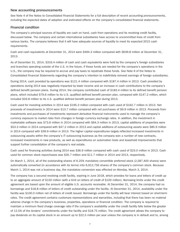#### **New accounting pronouncements**

See Note 4 of the Notes to Consolidated Financial Statements for a full description of recent accounting pronouncements, including the expected dates of adoption and estimated effects on the company's consolidated financial statements.

#### **Financial condition**

The company's principal sources of liquidity are cash on hand, cash from operations and its revolving credit facility, discussed below. The company and certain international subsidiaries have access to uncommitted lines of credit from various banks. The company believes that it will have adequate sources of liquidity to meet its expected 2015 cash requirements.

Cash and cash equivalents at December 31, 2014 were \$494.3 million compared with \$639.8 million at December 31, 2013.

As of December 31, 2014, \$316.4 million of cash and cash equivalents were held by the company's foreign subsidiaries and branches operating outside of the U.S. In the future, if these funds are needed for the company's operations in the U.S., the company may be required to accrue and pay taxes to repatriate these funds. See Note 6 of the Notes to Consolidated Financial Statements regarding the company's intention to indefinitely reinvest earnings of foreign subsidiaries.

During 2014, cash provided by operations was \$121.4 million compared with \$187.4 million in 2013. Cash provided by operations during 2014 was negatively impacted by lower income and an increase in cash contributions to the company's defined benefit pension plans. During 2014, the company contributed cash of \$183.4 million to its defined benefit pension plans, which included \$79.6 million to its U.S. qualified defined benefit pension plan, compared with \$147.2 million, which included \$33.8 million to its U.S. qualified defined benefit pension plan during 2013.

Cash used for investing activities in 2014 was \$195.3 million compared with cash used of \$162.7 million in 2013. Net proceeds of investments in 2014 were \$13.7 million compared with net purchases of \$9.9 million in 2013. Proceeds from investments and purchases of investments represent derivative financial instruments used to manage the company's currency exposure to market risks from changes in foreign currency exchange rates. In addition, the investment in marketable software was \$73.6 million in 2014 compared with \$64.3 million in 2013, capital additions of properties were \$53.3 million in 2014 compared with \$47.2 million in 2013 and capital additions of outsourcing assets were \$85.9 million in 2014 compared with \$39.9 million in 2013. The higher capital expenditures largely reflected increased investments in outsourcing assets within the company's IT outsourcing business as the company won a number of new contracts, increased investments in new products, as well as expenditures on automation tools and leasehold improvements that support further consolidation of the company's real estate.

Cash used for financing activities during 2014 was \$36.9 million compared with cash used of \$23.0 million in 2013. Cash used for common stock repurchases was \$35.7 million and \$11.7 million in 2014 and 2013, respectively.

On March 1, 2014, all of the outstanding shares of 6.25% mandatory convertible preferred stock (2,587,400 shares) were automatically converted (in accordance with its terms) into 6,912,756 shares of the company's common stock. Because March 1, 2014 was not a business day, the mandatory conversion was effected on Monday, March 3, 2014.

The company has a secured revolving credit facility, expiring in June 2018, which provides for loans and letters of credit up to an aggregate amount of \$150 million (with a limit on letters of credit of \$100 million). Borrowing limits under the credit agreement are based upon the amount of eligible U.S. accounts receivable. At December 31, 2014, the company had no borrowings and \$18.8 million of letters of credit outstanding under the facility. At December 31, 2014, availability under the facility was \$100.0 million net of letters of credit issued. Borrowings under the facility will bear interest based on short-term rates. The credit agreement contains customary representations and warranties, including that there has been no material adverse change in the company's business, properties, operations or financial condition. The company is required to maintain a minimum fixed charge coverage ratio if the company's availability under the credit facility falls below the greater of 12.5% of the lenders' commitments under the facility and \$18.75 million. The credit agreement allows the company to pay dividends on its capital stock in an amount up to \$22.5 million per year unless the company is in default and to, among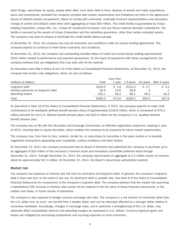other things, repurchase its equity, prepay other debt, incur other debt or liens, dispose of assets and make acquisitions, loans and investments, provided the company complies with certain requirements and limitations set forth in the agreement. Events of default include non-payment, failure to comply with covenants, materially incorrect representations and warranties, change of control and default under other debt aggregating at least \$50 million. The credit facility is guaranteed by Unisys Holding Corporation, Unisys NPL, Inc., Unisys AP Investment Company I and any future material domestic subsidiaries. The facility is secured by the assets of Unisys Corporation and the subsidiary guarantors, other than certain excluded assets. The company may elect to prepay or terminate the credit facility without penalty.

At December 31, 2014, the company has met all covenants and conditions under its various lending agreements. The company expects to continue to meet these covenants and conditions.

At December 31, 2014, the company had outstanding standby letters of credit and surety bonds totaling approximately \$343 million related to performance and payment guarantees. On the basis of experience with these arrangements, the company believes that any obligations that may arise will not be material.

As described more fully in Notes 8 and 10 of the Notes to Consolidated Financial Statements, at December 31, 2014, the company had certain cash obligations, which are due as follows:

| (millions of dollars)               | Total   | 1 vear |         |       | 1-3 years 4-5 years After 5 years |
|-------------------------------------|---------|--------|---------|-------|-----------------------------------|
| Long-term debt                      | \$224.0 | S 1.8  | \$215.3 | S 3.7 | \$3.2                             |
| Interest payments on long-term debt | 40.9    | 13.6   | 26.9    |       | .1                                |
| Operating leases                    | 225.1   | 58.2   | 86.1    | 46.5  | 34.3                              |
| Total                               | \$490.0 | S73.6  | \$328.3 | S50.5 | \$37.6                            |

As described in Note 16 of the Notes to Consolidated Financial Statements, in 2015, the company expects to make cash contributions to its worldwide defined benefit pension plans of approximately \$128.8 million, which is comprised of \$76.2 million primarily for non-U.S. defined benefit pension plans and \$52.6 million for the company's U.S. qualified defined benefit pension plan.

The company has on file with the Securities and Exchange Commission an effective registration statement, expiring in June of 2015, covering debt or equity securities, which enables the company to be prepared for future market opportunities.

The company may, from time to time, redeem, tender for, or repurchase its securities in the open market or in privately negotiated transactions depending upon availability, market conditions and other factors.

On December 10, 2012, the company announced that its Board of Directors had authorized the company to purchase up to an aggregate of \$50 million of the company's common stock and mandatory convertible preferred stock through December 31, 2014. Through December 31, 2014, the company repurchased an aggregate of 2.2 million shares of common stock for approximately \$47.3 million. At December 31, 2014, the Board's repurchase authorization expired.

#### **Market risk**

The company has exposure to interest rate risk from its short-term and long-term debt. In general, the company's long-term debt is fixed rate and, to the extent it has any, its short-term debt is variable rate. See Note 8 of the Notes to Consolidated Financial Statements for components of the company's long-term debt. The company believes that the market risk assuming a hypothetical 10% increase in interest rates would not be material to the fair value of these financial instruments, or the related cash flows, or future results of operations.

The company is also exposed to foreign currency exchange rate risks. The company is a net receiver of currencies other than the U.S. dollar and, as such, can benefit from a weaker dollar, and can be adversely affected by a stronger dollar relative to currencies worldwide. Accordingly, changes in exchange rates, and in particular a strengthening of the U.S. dollar, may adversely affect consolidated revenue and operating margins as expressed in U.S. dollars. Currency exposure gains and losses are mitigated by purchasing components and incurring expenses in local currencies.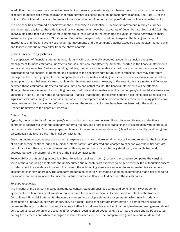In addition, the company uses derivative financial instruments, primarily foreign exchange forward contracts, to reduce its exposure to market risks from changes in foreign currency exchange rates on intercompany balances. See Note 11 of the Notes to Consolidated Financial Statements for additional information on the company's derivative financial instruments.

The company has performed a sensitivity analysis assuming a hypothetical 10% adverse movement in foreign currency exchange rates applied to these derivative financial instruments described above. As of December 31, 2014 and 2013, the analysis indicated that such market movements would have reduced the estimated fair value of these derivative financial instruments by approximately \$39 million and \$48 million, respectively. Based on changes in the timing and amount of interest rate and foreign currency exchange rate movements and the company's actual exposures and hedges, actual gains and losses in the future may differ from the above analysis.

#### **Critical accounting policies**

The preparation of financial statements in conformity with U.S. generally accepted accounting principles requires management to make estimates, judgments and assumptions that affect the amounts reported in the financial statements and accompanying notes. Certain accounting policies, methods and estimates are particularly important because of their significance to the financial statements and because of the possibility that future events affecting them may differ from management's current judgments. The company bases its estimates and judgments on historical experience and on other assumptions that it believes are reasonable under the circumstances; however, to the extent there are material differences between these estimates, judgments and assumptions and actual results, the financial statements will be affected. Although there are a number of accounting policies, methods and estimates affecting the company's financial statements as described in Note 1 of the Notes to Consolidated Financial Statements, the following critical accounting policies reflect the significant estimates, judgments and assumptions. The development and selection of these critical accounting policies have been determined by management of the company and the related disclosures have been reviewed with the Audit and Finance Committee of the Board of Directors.

#### *Outsourcing*

Typically, the initial terms of the company's outsourcing contracts are between 5 and 10 years. Revenue under these contracts is recognized when the company performs the services or processes transactions in accordance with contractual performance standards. Customer prepayments (even if nonrefundable) are deferred (classified as a liability) and recognized systematically as revenue over the initial contract term.

Costs on outsourcing contracts are charged to expense as incurred. However, direct costs incurred related to the inception of an outsourcing contract (principally initial customer setup) are deferred and charged to expense over the initial contract term. In addition, the costs of equipment and software, some of which are internally developed, are capitalized and depreciated over the shorter of their life or the initial contract term.

Recoverability of outsourcing assets is subject to various business risks. Quarterly, the company compares the carrying value of the outsourcing assets with the undiscounted future cash flows expected to be generated by the outsourcing assets to determine if the assets are impaired. If impaired, the outsourcing assets are reduced to an estimated fair value on a discounted cash flow approach. The company prepares its cash flow estimates based on assumptions that it believes to be reasonable but are also inherently uncertain. Actual future cash flows could differ from these estimates.

#### *Revenue recognition*

The majority of the company's sales agreements contain standard business terms and conditions; however, some agreements contain multiple elements or non-standard terms and conditions. As discussed in Note 1 of the Notes to Consolidated Financial Statements, the company enters into multiple-element arrangements, which may include any combination of hardware, software or services. As a result, significant contract interpretation is sometimes required to determine the appropriate accounting, including whether the deliverables specified in a multiple-element arrangement should be treated as separate units of accounting for revenue recognition purposes, and, if so, how the price should be allocated among the elements and when to recognize revenue for each element. The company recognizes revenue on delivered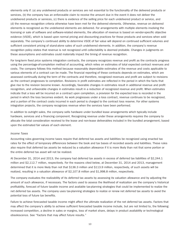elements only if: (a) any undelivered products or services are not essential to the functionality of the delivered products or services, (b) the company has an enforceable claim to receive the amount due in the event it does not deliver the undelivered products or services, (c) there is evidence of the selling price for each undelivered product or service, and (d) the revenue recognition criteria otherwise have been met for the delivered elements. Otherwise, revenue on delivered elements is recognized as the undelivered elements are delivered. For arrangements with multiple elements involving the licensing or sale of software and software-related elements, the allocation of revenue is based on vendor-specific objective evidence (VSOE), which is based upon normal pricing and discounting practices for those products and services when sold separately. The company's continued ability to determine VSOE of fair value will depend on continued sufficient volumes and sufficient consistent pricing of stand-alone sales of such undelivered elements. In addition, the company's revenue recognition policy states that revenue is not recognized until collectability is deemed probable. Changes in judgments on these assumptions and estimates could materially impact the timing of revenue recognition.

For long-term fixed price systems integration contracts, the company recognizes revenue and profit as the contracts progress using the percentage-of-completion method of accounting, which relies on estimates of total expected contract revenues and costs. The company follows this method because reasonably dependable estimates of the revenue and costs applicable to various elements of a contract can be made. The financial reporting of these contracts depends on estimates, which are assessed continually during the term of the contracts and therefore, recognized revenues and profit are subject to revisions as the contract progresses to completion. Revisions in profit estimates are reflected in the period in which the facts that give rise to the revision become known. Accordingly, favorable changes in estimates result in additional revenue and profit recognition, and unfavorable changes in estimates result in a reduction of recognized revenue and profit. When estimates indicate that a loss will be incurred on a contract upon completion, a provision for the expected loss is recorded in the period in which the loss becomes evident. As work progresses under a loss contract, revenue continues to be recognized, and a portion of the contract costs incurred in each period is charged to the contract loss reserve. For other systems integration projects, the company recognizes revenue when the services have been performed.

In addition to outright sales, the company sells hardware under bundled lease arrangements which typically include hardware, services and a financing component. Recognizing revenue under these arrangements requires the company to allocate the total consideration received to the lease and non-lease deliverables included in the bundled arrangement, based upon the estimated fair values of each element.

#### *Income Taxes*

Accounting rules governing income taxes require that deferred tax assets and liabilities be recognized using enacted tax rates for the effect of temporary differences between the book and tax bases of recorded assets and liabilities. These rules also require that deferred tax assets be reduced by a valuation allowance if it is more likely than not that some portion or the entire deferred tax asset will not be realized.

At December 31, 2014 and 2013, the company had deferred tax assets in excess of deferred tax liabilities of \$2,244.1 million and \$2,112.7 million, respectively. For the reasons cited below, at December 31, 2014 and 2013, management determined that it is more likely than not that \$136.3 million and \$113.9 million, respectively, of such assets will be realized, resulting in a valuation allowance of \$2,107.8 million and \$1,998.8 million, respectively.

The company evaluates the realizability of its deferred tax assets by assessing its valuation allowance and by adjusting the amount of such allowance, if necessary. The factors used to assess the likelihood of realization are the company's historical profitability, forecast of future taxable income and available tax-planning strategies that could be implemented to realize the net deferred tax assets. The company uses tax-planning strategies to realize or renew net deferred tax assets to avoid the potential loss of future tax benefits.

Failure to achieve forecasted taxable income might affect the ultimate realization of the net deferred tax assets. Factors that may affect the company's ability to achieve sufficient forecasted taxable income include, but are not limited to, the following: increased competition, a decline in sales or margins, loss of market share, delays in product availability or technological obsolescence. See "Factors that may affect future results."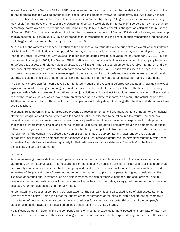Internal Revenue Code Sections 382 and 383 provide annual limitations with respect to the ability of a corporation to utilize its net operating loss (as well as certain built-in losses) and tax credit carryforwards, respectively (Tax Attributes), against future U.S. taxable income, if the corporation experiences an "ownership change." In general terms, an ownership change may result from transactions increasing the ownership of certain stockholders in the stock of a corporation by more than 50 percentage points over a three-year period. The company regularly monitors ownership changes (as calculated for purposes of Section 382). The company has determined that, for purposes of the rules of Section 382 described above, an ownership change occurred in February 2011. Any future transaction or transactions and the timing of such transaction or transactions could trigger additional ownership changes under Section 382.

As a result of the ownership change, utilization of the company's Tax Attributes will be subject to an overall annual limitation of \$70.6 million. This limitation will be applied first to any recognized built in losses, then to any net operating losses, and then to any other Tax Attributes. Any unused limitation may be carried over to later years. As of December 31, 2013, due to the ownership change in 2011, the Section 382 limitation and accompanying built in losses caused the company to reduce its deferred tax assets and related valuation allowance by \$389.6 million. Based on presently available information and the existence of tax planning strategies, the company does not expect to incur a U.S. cash tax liability in the near term. The company maintains a full valuation allowance against the realization of all U.S. deferred tax assets as well as certain foreign deferred tax assets in excess of deferred tax liabilities. See Note 6 of the Notes to Consolidated Financial Statements.

The company's provision for income taxes and the determination of the resulting deferred tax assets and liabilities involve a significant amount of management judgment and are based on the best information available at the time. The company operates within federal, state and international taxing jurisdictions and is subject to audit in these jurisdictions. These audits can involve complex issues, which may require an extended period of time to resolve. As a result, the actual income tax liabilities in the jurisdictions with respect to any fiscal year are ultimately determined long after the financial statements have been published.

Accounting rules governing income taxes also prescribe a recognition threshold and measurement attribute for the financial statement recognition and measurement of a tax position taken or expected to be taken in a tax return. The company maintains reserves for estimated tax exposures including penalties and interest. Income tax exposures include potential challenges of intercompany pricing and other tax matters. Exposures are settled primarily through the settlement of audits within these tax jurisdictions, but can also be affected by changes in applicable tax law or other factors, which could cause management of the company to believe a revision of past estimates is appropriate. Management believes that an appropriate liability has been established for estimated exposures; however, actual results may differ materially from these estimates. The liabilities are reviewed quarterly for their adequacy and appropriateness. See Note 6 of the Notes to Consolidated Financial Statements.

#### *Pensions*

Accounting rules governing defined benefit pension plans require that amounts recognized in financial statements be determined on an actuarial basis. The measurement of the company's pension obligations, costs and liabilities is dependent on a variety of assumptions selected by the company and used by the company's actuaries. These assumptions include estimates of the present value of projected future pension payments to plan participants, taking into consideration the likelihood of potential future events such as salary increases and demographic experience. The assumptions used in developing the required estimates include the following key factors: discount rates, salary growth, retirement rates, inflation, expected return on plan assets and mortality rates.

As permitted for purposes of computing pension expense, the company uses a calculated value of plan assets (which is further described below). This allows that the effects of the performance of the pension plan's assets on the company's computation of pension income or expense be amortized over future periods. A substantial portion of the company's pension plan assets relates to its qualified defined benefit plan in the United States.

A significant element in determining the company's pension income or expense is the expected long-term rate of return on plan assets. The company sets the expected long-term rate of return based on the expected long-term return of the various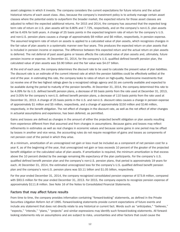asset categories in which it invests. The company considers the current expectations for future returns and the actual historical returns of each asset class. Also, because the company's investment policy is to actively manage certain asset classes where the potential exists to outperform the broader market, the expected returns for those asset classes are adjusted to reflect the expected additional returns. For 2015 and 2014, the company has assumed that the expected longterm rate of return on U.S. plan assets will be 6.80% and 7.72%, respectively, and on the company's non-U.S. plan assets will be 6.45% for both years. A change of 25 basis points in the expected long-term rate of return for the company's U.S. and non-U.S. pension plans causes a change of approximately \$9 million and \$6 million, respectively, in pension expense. The assumed long-term rate of return on assets is applied to a calculated value of plan assets, which recognizes changes in the fair value of plan assets in a systematic manner over four years. This produces the expected return on plan assets that is included in pension income or expense. The difference between this expected return and the actual return on plan assets is deferred. The net deferral of past asset gains or losses affects the calculated value of plan assets and, ultimately, future pension income or expense. At December 31, 2014, for the company's U.S. qualified defined benefit pension plan, the calculated value of plan assets was \$3.90 billion and the fair value was \$4.07 billion.

At the end of each year, the company determines the discount rate to be used to calculate the present value of plan liabilities. The discount rate is an estimate of the current interest rate at which the pension liabilities could be effectively settled at the end of the year. In estimating this rate, the company looks to rates of return on high-quality, fixed-income investments that (a) receive one of the two highest ratings given by a recognized ratings agency and (b) are currently available and expected to be available during the period to maturity of the pension benefits. At December 31, 2014, the company determined this rate to be 4.09% for its U.S. defined benefit pension plans, a decrease of 93 basis points from the rate used at December 31, 2013, and 3.05% for the company's non-U.S. defined benefit pension plans, a decrease of 110 basis points from the rate used at December 31, 2013. A change of 25 basis points in the U.S. and non-U.S. discount rates causes a change in pension expense of approximately \$1 million and \$5 million, respectively, and a change of approximately \$150 million and \$146 million, respectively, in the benefit obligation. The net effect of changes in the discount rate, as well as the net effect of other changes in actuarial assumptions and experience, has been deferred, as permitted.

Gains and losses are defined as changes in the amount of either the projected benefit obligation or plan assets resulting from experience different from that assumed and from changes in assumptions. Because gains and losses may reflect refinements in estimates as well as real changes in economic values and because some gains in one period may be offset by losses in another and vice versa, the accounting rules do not require recognition of gains and losses as components of net pension cost of the period in which they arise.

At a minimum, amortization of an unrecognized net gain or loss must be included as a component of net pension cost for a year if, as of the beginning of the year, that unrecognized net gain or loss exceeds 10 percent of the greater of the projected benefit obligation or the calculated value of plan assets. If amortization is required, the minimum amortization is that excess above the 10 percent divided by the average remaining life expectancy of the plan participants. For the company's U.S. qualified defined benefit pension plan and the company's non-U.S. pension plans, that period is approximately 19 years for each. At December 31, 2014, the estimated unrecognized loss for the company's U.S. qualified defined benefit pension plan and the company's non-U.S. pension plans was \$3.11 billion and \$1.05 billion, respectively.

For the year ended December 31, 2014, the company recognized consolidated pension expense of \$73.8 million, compared with \$93.5 million for the year ended December 31, 2013. For 2015, the company expects to recognize pension expense of approximately \$111.8 million. See Note 16 of the Notes to Consolidated Financial Statements.

#### **Factors that may affect future results**

From time to time, the company provides information containing "forward-looking" statements, as defined in the Private Securities Litigation Reform Act of 1995. Forward-looking statements provide current expectations of future events and include any statement that does not directly relate to any historical or current fact. Words such as "anticipates," "believes," "expects," "intends," "plans," "projects" and similar expressions may identify such forward-looking statements. All forwardlooking statements rely on assumptions and are subject to risks, uncertainties and other factors that could cause the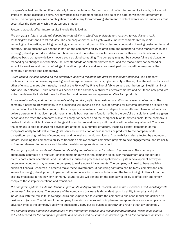company's actual results to differ materially from expectations. Factors that could affect future results include, but are not limited to, those discussed below. Any forward-looking statement speaks only as of the date on which that statement is made. The company assumes no obligation to update any forward-looking statement to reflect events or circumstances that occur after the date on which the statement is made.

Factors that could affect future results include the following:

*The company's future results will depend upon its ability to effectively anticipate and respond to volatility and rapid technological innovation in its industry.* The company operates in a highly volatile industry characterized by rapid technological innovation, evolving technology standards, short product life cycles and continually changing customer demand patterns. Future success will depend in part on the company's ability to anticipate and respond to these market trends and to design, develop, introduce, deliver or obtain new and innovative products, services and software on a timely and costeffective basis using new delivery models such as cloud computing. The company may not be successful in anticipating or responding to changes in technology, industry standards or customer preferences, and the market may not demand or accept its services and product offerings. In addition, products and services developed by competitors may make the company's offerings less competitive.

*Future results will also depend on the company's ability to maintain and grow its technology business.* The company continues to invest in developing new high-end enterprise server products, cybersecurity software, cloud-based products and other offerings to meet client needs, including the *Forward!* by Unisys line of fabric servers and the Unisys Stealth family of cybersecurity software. Future results will depend on the company's ability to effectively market and sell these new products while maintaining its installed base for ClearPath and developing next-generation ClearPath products.

*Future results will depend on the company's ability to drive profitable growth in consulting and systems integration.* The company's ability to grow profitably in this business will depend on the level of demand for systems integration projects and the portfolio of solutions the company offers for specific industries. It will also depend on an efficient utilization of services delivery personnel. In addition, profit margins in this business are a function of both the portfolio of solutions sold in a given period and the rates the company is able to charge for services and the chargeability of its professionals. If the company is unable to attain sufficient rates and chargeability for its professionals, profit margins will be adversely affected. The rates the company is able to charge for services are affected by a number of factors, including clients' perception of the company's ability to add value through its services; introduction of new services or products by the company or its competitors; pricing policies of competitors; and general economic conditions. Chargeability is also affected by a number of factors, including the company's ability to transition employees from completed projects to new engagements, and its ability to forecast demand for services and thereby maintain an appropriate headcount.

*The company's future results will depend on its ability to profitably grow its outsourcing business.* The company's outsourcing contracts are multiyear engagements under which the company takes over management and support of a client's data center operations, end user devices, business processes or applications. System development activity on outsourcing contracts may require the company to make upfront investments. The company will need to have available sufficient financial resources in order to make these investments. Outsourcing contracts can be highly complex and can involve the design, development, implementation and operation of new solutions and the transitioning of clients from their existing processes to the new environment. Future results will depend on the company's ability to effectively and timely complete these implementations and transitions.

*The company's future results will depend in part on its ability to attract, motivate and retain experienced and knowledgeable personnel in key positions.* The success of the company's business is dependent upon its ability to employ and train individuals with the requisite knowledge, skills and experience to execute the company's business model and achieve its business objectives. The failure of the company to retain key personnel or implement an appropriate succession plan could adversely impact the company's ability to successfully carry out its business strategy and retain other key personnel.

*The company faces aggressive competition in the information services and technology marketplace, which could lead to reduced demand for the company's products and services and could have an adverse effect on the company's business.* The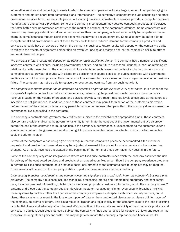information services and technology markets in which the company operates include a large number of companies vying for customers and market share both domestically and internationally. The company's competitors include consulting and other professional services firms, systems integrators, outsourcing providers, infrastructure services providers, computer hardware manufacturers and software providers. Some of the company's competitors may develop competing products and services that offer better price-performance or that reach the market in advance of the company's offerings. Some competitors also have or may develop greater financial and other resources than the company, with enhanced ability to compete for market share, in some instances through significant economic incentives to secure contracts. Some also may be better able to compete for skilled professionals. Any of these factors could lead to reduced demand for the company's products and services and could have an adverse effect on the company's business. Future results will depend on the company's ability to mitigate the effects of aggressive competition on revenues, pricing and margins and on the company's ability to attract and retain talented people.

*The company's future results will depend on its ability to retain significant clients.* The company has a number of significant long-term contracts with clients, including governmental entities, and its future success will depend, in part, on retaining its relationships with these clients. The company could lose clients for such reasons as contract expiration, conversion to a competing service provider, disputes with clients or a decision to in-source services, including contracts with governmental entities as part of the rebid process. The company could also lose clients as a result of their merger, acquisition or business failure. The company may not be able to replace the revenue and earnings from any such lost client.

*The company's contracts may not be as profitable as expected or provide the expected level of revenues*. In a number of the company's long-term contracts for infrastructure services, outsourcing, help desk and similar services, the company's revenue is based on the volume of products and services provided. As a result, revenue levels anticipated at the contract's inception are not guaranteed. In addition, some of these contracts may permit termination at the customer's discretion before the end of the contract's term or may permit termination or impose other penalties if the company does not meet the performance levels specified in the contracts.

The company's contracts with governmental entities are subject to the availability of appropriated funds. These contracts also contain provisions allowing the governmental entity to terminate the contract at the governmental entity's discretion before the end of the contract's term. In addition, if the company's performance is unacceptable to the customer under a government contract, the government retains the right to pursue remedies under the affected contract, which remedies could include termination.

Certain of the company's outsourcing agreements require that the company's prices be benchmarked if the customer requests it and provide that those prices may be adjusted downward if the pricing for similar services in the market has changed. As a result, revenues anticipated at the beginning of the terms of these contracts may decline in the future.

Some of the company's systems integration contracts are fixed-price contracts under which the company assumes the risk for delivery of the contracted services and products at an agreed-upon fixed price. Should the company experience problems in performing fixed-price contracts on a profitable basis, adjustments to the estimated cost to complete may be required. Future results will depend on the company's ability to perform these services contracts profitably.

*Cybersecurity breaches could result in the company incurring significant costs and could harm the company's business and reputation.* The company's business includes managing, processing, storing and transmitting proprietary and confidential data, including personal information, intellectual property and proprietary business information, within the company's own IT systems and those that the company designs, develops, hosts or manages for clients. Cybersecurity breaches involving these systems by hackers, other third parties or the company's employees, despite established security controls, could disrupt these systems or result in the loss or corruption of data or the unauthorized disclosure or misuse of information of the company, its clients or others. This could result in litigation and legal liability for the company, lead to the loss of existing or potential clients and adversely affect the market's perception of the security and reliability of the company's products and services. In addition, such breaches could subject the company to fines and penalties for violations of laws and result in the company incurring other significant costs. This may negatively impact the company's reputation and financial results.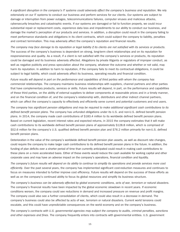*A significant disruption in the company's IT systems could adversely affect the company's business and reputation*. We rely extensively on our IT systems to conduct our business and perform services for our clients. Our systems are subject to damage or interruption from power outages, telecommunications failures, computer viruses and malicious attacks, cybersecurity breaches and catastrophic events. If our systems are damaged or fail to function properly, we could incur substantial repair or replacement costs, experience data loss and impediments to our ability to conduct our business, and damage the market's perception of our products and services. In addition, a disruption could result in the company failing to meet performance standards and obligations in its client contracts, which could subject the company to liability, penalties and contract termination. This may adversely affect the company's reputation and financial results.

*The company may face damage to its reputation or legal liability if its clients are not satisfied with its services or products.* The success of the company's business is dependent on strong, long-term client relationships and on its reputation for responsiveness and quality. As a result, if a client is not satisfied with the company's services or products, its reputation could be damaged and its business adversely affected. Allegations by private litigants or regulators of improper conduct, as well as negative publicity and press speculation about the company, whatever the outcome and whether or not valid, may harm its reputation. In addition to harm to reputation, if the company fails to meet its contractual obligations, it could be subject to legal liability, which could adversely affect its business, operating results and financial condition.

*Future results will depend in part on the performance and capabilities of third parties with whom the company has commercial relationships.* The company maintains business relationships with suppliers, channel partners and other parties that have complementary products, services or skills. Future results will depend, in part, on the performance and capabilities of these third parties, on the ability of external suppliers to deliver components at reasonable prices and in a timely manner, and on the financial condition of, and the company's relationship with, distributors and other indirect channel partners, which can affect the company's capacity to effectively and efficiently serve current and potential customers and end users.

*The company has significant pension obligations and may be required to make additional significant cash contributions to its defined benefit pension plans.* The company has unfunded obligations under its U.S. and non-U.S. defined benefit pension plans. In 2014, the company made cash contributions of \$183.4 million to its worldwide defined benefit pension plans. Based on current legislation, recent interest rates and expected returns, in 2015 the company estimates that it will make cash contributions to its worldwide defined benefit pension plans of approximately \$128.8 million, which is comprised of \$52.6 million for the company's U.S. qualified defined benefit pension plan and \$76.2 million primarily for non-U.S. defined benefit pension plans.

Deterioration in the value of the company's worldwide defined benefit pension plan assets, as well as discount rate changes, could require the company to make larger cash contributions to its defined benefit pension plans in the future. In addition, the funding of plan deficits over a shorter period of time than currently anticipated could result in making cash contributions to these plans on a more accelerated basis. Either of these events would reduce the cash available for working capital and other corporate uses and may have an adverse impact on the company's operations, financial condition and liquidity.

*The company's future results will depend on its ability to continue to simplify its operations and provide services more cost efficiently.* Over the past several years, the company has implemented significant cost-reduction measures and continues to focus on measures intended to further improve cost efficiency. Future results will depend on the success of these efforts as well as on the company's continued ability to focus its global resources and simplify its business structure.

*The company's business can be adversely affected by global economic conditions, acts of war, terrorism or natural disasters.* The company's financial results have been impacted by the global economic slowdown in recent years. If economic conditions worsen, the company could see reductions in demand and increased pressure on revenue and profit margins. The company could also see a further consolidation of clients, which could also result in a decrease in demand. The company's business could also be affected by acts of war, terrorism or natural disasters. Current world tensions could escalate, and this could have unpredictable consequences on the world economy and on the company's business.

*The company's contracts with U.S. governmental agencies may subject the company to audits, criminal penalties, sanctions and other expenses and fines.* The company frequently enters into contracts with governmental entities. U.S. government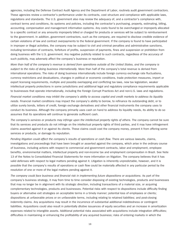agencies, including the Defense Contract Audit Agency and the Department of Labor, routinely audit government contractors. These agencies review a contractor's performance under its contracts, cost structure and compliance with applicable laws, regulations and standards. The U.S. government also may review the adequacy of, and a contractor's compliance with, contract terms and conditions, its systems and policies, including the contractor's purchasing, property, estimating, billing, accounting, compensation and management information systems. Any costs found to be overcharged or improperly allocated to a specific contract or any amounts improperly billed or charged for products or services will be subject to reimbursement to the government. In addition, government contractors, such as the company, are required to disclose credible evidence of certain violations of law and contract overpayments to the federal government. If the company is found to have participated in improper or illegal activities, the company may be subject to civil and criminal penalties and administrative sanctions, including termination of contracts, forfeiture of profits, suspension of payments, fines and suspension or prohibition from doing business with the U.S. government. Any negative publicity related to such contracts, regardless of the accuracy of such publicity, may adversely affect the company's business or reputation.

*More than half of the company's revenue is derived from operations outside of the United States, and the company is subject to the risks of doing business internationally.* More than half of the company's total revenue is derived from international operations. The risks of doing business internationally include foreign currency exchange rate fluctuations, currency restrictions and devaluations, changes in political or economic conditions, trade protection measures, import or export licensing requirements, multiple and possibly overlapping and conflicting tax laws, new tax legislation, weaker intellectual property protections in some jurisdictions and additional legal and regulatory compliance requirements applicable to businesses that operate internationally, including the Foreign Corrupt Practices Act and non-U.S. laws and regulations.

*Financial market conditions may inhibit the company's ability to access capital and credit markets to address its liquidity needs.* Financial market conditions may impact the company's ability to borrow, to refinance its outstanding debt, or to utilize surety bonds, letters of credit, foreign exchange derivatives and other financial instruments the company uses to conduct its business. Although the company primarily uses cash on hand to address its liquidity needs, its ability to do so assumes that its operations will continue to generate sufficient cash.

*The company's services or products may infringe upon the intellectual property rights of others.* The company cannot be sure that its services and products do not infringe on the intellectual property rights of third parties, and it may have infringement claims asserted against it or against its clients. These claims could cost the company money, prevent it from offering some services or products, or damage its reputation.

*Pending litigation could affect the company's results of operations or cash flow.* There are various lawsuits, claims, investigations and proceedings that have been brought or asserted against the company, which arise in the ordinary course of business, including actions with respect to commercial and government contracts, labor and employment, employee benefits, environmental matters, intellectual property and non-income tax and employment compensation in Brazil. See Note 13 of the Notes to Consolidated Financial Statements for more information on litigation. The company believes that it has valid defenses with respect to legal matters pending against it. Litigation is inherently unpredictable, however, and it is possible that the company's results of operations or cash flow could be materially affected in any particular period by the resolution of one or more of the legal matters pending against it.

*The company could face business and financial risk in implementing future dispositions or acquisitions.* As part of the company's business strategy, it may from time to time consider disposing of existing technologies, products and businesses that may no longer be in alignment with its strategic direction, including transactions of a material size, or acquiring complementary technologies, products and businesses. Potential risks with respect to dispositions include difficulty finding buyers or alternative exit strategies on acceptable terms in a timely manner; potential loss of employees or clients; dispositions at unfavorable prices or on unfavorable terms, including relating to retained liabilities; and post-closing indemnity claims. Any acquisitions may result in the incurrence of substantial additional indebtedness or contingent liabilities. Acquisitions could also result in potentially dilutive issuances of equity securities and an increase in amortization expenses related to intangible assets. Additional potential risks associated with acquisitions include integration difficulties; difficulties in maintaining or enhancing the profitability of any acquired business; risks of entering markets in which the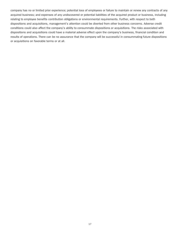company has no or limited prior experience; potential loss of employees or failure to maintain or renew any contracts of any acquired business; and expenses of any undiscovered or potential liabilities of the acquired product or business, including relating to employee benefits contribution obligations or environmental requirements. Further, with respect to both dispositions and acquisitions, management's attention could be diverted from other business concerns. Adverse credit conditions could also affect the company's ability to consummate dispositions or acquisitions. The risks associated with dispositions and acquisitions could have a material adverse effect upon the company's business, financial condition and results of operations. There can be no assurance that the company will be successful in consummating future dispositions or acquisitions on favorable terms or at all.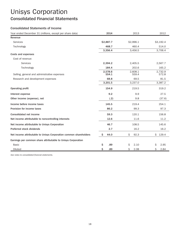## Unisys Corporation **Consolidated Financial Statements**

#### **Consolidated Statements of Income**

| Year ended December 31 (millions, except per share data)          | 2014             | 2013             | 2012             |
|-------------------------------------------------------------------|------------------|------------------|------------------|
| Revenue                                                           |                  |                  |                  |
| <b>Services</b>                                                   | \$2,887.7        | \$2,996.1        | \$3,192.4        |
| Technology                                                        | 468.7            | 460.4            | 514.0            |
|                                                                   | 3,356.4          | 3,456.5          | 3,706.4          |
| Costs and expenses                                                |                  |                  |                  |
| Cost of revenue:                                                  |                  |                  |                  |
| Services                                                          | 2,394.2          | 2,405.5          | 2,567.7          |
| Technology                                                        | 184.4            | 202.6            | 165.2            |
| Selling, general and administrative expenses                      | 2,578.6<br>554.1 | 2,608.1<br>559.4 | 2,732.9<br>572.8 |
| Research and development expenses                                 | 68.8             | 69.5             | 81.5             |
|                                                                   | 3,201.5          | 3,237.0          | 3,387.2          |
| Operating profit                                                  | 154.9            | 219.5            | 319.2            |
| Interest expense                                                  | 9.2              | 9.9              | 27.5             |
| Other income (expense), net                                       | (.2)             | 9.8              | (37.6)           |
| Income before income taxes                                        | 145.5            | 219.4            | 254.1            |
| Provision for income taxes                                        | 86.2             | 99.3             | 97.3             |
| Consolidated net income                                           | 59.3             | 120.1            | 156.8            |
| Net income attributable to noncontrolling interests               | 12.6             | 11.6             | 11.2             |
| Net income attributable to Unisys Corporation                     | 46.7             | 108.5            | 145.6            |
| Preferred stock dividends                                         | 2.7              | 16.2             | 16.2             |
| Net income attributable to Unisys Corporation common shareholders | 44.0<br>\$       | \$<br>92.3       | \$129.4          |
| Earnings per common share attributable to Unisys Corporation      |                  |                  |                  |
| <b>Basic</b>                                                      | \$<br>.89        | \$<br>2.10       | \$<br>2.95       |
| Diluted                                                           | Ś.<br>.89        | Ś.<br>2.08       | Ś.<br>2.84       |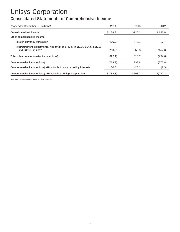### **Consolidated Statements of Comprehensive Income**

| Year ended December 31 (millions)                                                                           | 2014       | 2013    | 2012      |
|-------------------------------------------------------------------------------------------------------------|------------|---------|-----------|
| Consolidated net income                                                                                     | Ŝ.<br>59.3 | \$120.1 | \$156.8   |
| Other comprehensive income                                                                                  |            |         |           |
| Foreign currency translation                                                                                | (66.3)     | (40.1)  | 17.7      |
| Postretirement adjustments, net of tax of \$(42.5) in 2014, \$14.6 in 2013<br>and $\frac{28.3}{10}$ in 2012 | (756.8)    | 853.8   | (452.3)   |
| Total other comprehensive income (loss)                                                                     | (823.1)    | 813.7   | (434.6)   |
| Comprehensive income (loss)                                                                                 | (763.8)    | 933.8   | (277.8)   |
| Comprehensive income (loss) attributable to noncontrolling interests                                        | 30.5       | (25.1)  | (9.3)     |
| Comprehensive income (loss) attributable to Unisys Corporation                                              | \$(733.3)  | \$908.7 | \$(287.1) |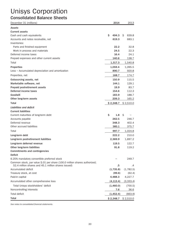### **Consolidated Balance Sheets**

| December 31 (millions)                                                                                                           |    | 2014       |    | 2013       |
|----------------------------------------------------------------------------------------------------------------------------------|----|------------|----|------------|
| Assets                                                                                                                           |    |            |    |            |
| <b>Current assets</b>                                                                                                            |    |            |    |            |
| Cash and cash equivalents                                                                                                        | Ŝ. | 494.3      | Ŝ. | 639.8      |
| Accounts and notes receivable, net                                                                                               |    | 619.3      |    | 683.1      |
| Inventories:                                                                                                                     |    |            |    |            |
| Parts and finished equipment                                                                                                     |    | 22.2       |    | 32.8       |
| Work in process and materials                                                                                                    |    | 24.5       |    | 22.3       |
| Deferred income taxes                                                                                                            |    | 16.4       |    | 24.1       |
| Prepaid expenses and other current assets                                                                                        |    | 140.6      |    | 138.7      |
| Total                                                                                                                            |    | 1,317.3    |    | 1,540.8    |
| Properties                                                                                                                       |    | 1,059.4    |    | 1,095.5    |
| Less - Accumulated depreciation and amortization                                                                                 |    | 890.7      |    | 920.8      |
| Properties, net                                                                                                                  |    | 168.7      |    | 174.7      |
| Outsourcing assets, net                                                                                                          |    | 150.9      |    | 115.5      |
| Marketable software, net                                                                                                         |    | 144.1      |    | 129.1      |
| Prepaid postretirement assets                                                                                                    |    | 19.9       |    | 83.7       |
| Deferred income taxes                                                                                                            |    | 154.6      |    | 112.3      |
| Goodwill                                                                                                                         |    | 183.9      |    | 188.7      |
| Other long-term assets                                                                                                           |    | 209.3      |    | 165.2      |
| Total                                                                                                                            |    | \$2,348.7  |    | \$2,510.0  |
| Liabilities and deficit                                                                                                          |    |            |    |            |
| <b>Current liabilities</b>                                                                                                       |    |            |    |            |
| Current maturities of long-term debt                                                                                             | \$ | 1.8        | \$ |            |
| Accounts payable                                                                                                                 |    | 262.5      |    | 246.7      |
| Deferred revenue                                                                                                                 |    | 348.3      |    | 402.4      |
| Other accrued liabilities                                                                                                        |    | 385.1      |    | 375.7      |
| Total                                                                                                                            |    | 997.7      |    | 1,024.8    |
| Long-term debt                                                                                                                   |    | 222.2      |    | 210.0      |
| Long-term postretirement liabilities                                                                                             |    | 2,369.9    |    | 1,697.2    |
| Long-term deferred revenue                                                                                                       |    | 119.5      |    | 122.7      |
| Other long-term liabilities                                                                                                      |    | 91.8       |    | 119.2      |
| Commitments and contingencies                                                                                                    |    |            |    |            |
| <b>Deficit</b>                                                                                                                   |    |            |    |            |
| 6.25% mandatory convertible preferred stock                                                                                      |    |            |    | 249.7      |
| Common stock, par value \$.01 per share (100.0 million shares authorized;<br>52.4 million shares and 45.1 million shares issued) |    | .5         |    | .4         |
| Accumulated deficit                                                                                                              |    | (1,735.8)  |    | (1,782.5)  |
| Treasury stock, at cost                                                                                                          |    | (99.6)     |    | (62.4)     |
| Paid-in capital                                                                                                                  |    | 4,488.3    |    | 4,227.7    |
| Accumulated other comprehensive loss                                                                                             |    | (4, 113.4) |    | (3,333.4)  |
| Total Unisys stockholders' deficit                                                                                               |    | (1,460.0)  |    | (700.5)    |
| Noncontrolling interests                                                                                                         |    | 7.6        |    | 36.6       |
| Total deficit                                                                                                                    |    | (1,452.4)  |    | (663.9)    |
|                                                                                                                                  |    |            |    |            |
| Total                                                                                                                            |    | \$2,348.7  |    | \$ 2,510.0 |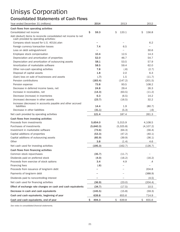### **Consolidated Statements of Cash Flows**

| Year ended December 31 (millions)                                                                        | 2014        | 2013        | 2012         |
|----------------------------------------------------------------------------------------------------------|-------------|-------------|--------------|
| Cash flows from operating activities                                                                     |             |             |              |
| Consolidated net income                                                                                  | \$<br>59.3  | 120.1<br>S  | \$<br>156.8  |
| Add (deduct) items to reconcile consolidated net income to net<br>cash provided by operating activities: |             |             |              |
| Company stock issued for U.S. 401(k) plan                                                                |             |             | 6.2          |
| Foreign currency transaction losses                                                                      | 7.4         | 6.5         |              |
| Loss on debt extinguishment                                                                              |             |             | 30.6         |
| Employee stock compensation                                                                              | 10.4        | 12.5        | 14.3         |
| Depreciation and amortization of properties                                                              | 52.0        | 46.7        | 54.7         |
| Depreciation and amortization of outsourcing assets                                                      | 58.1        | 53.5        | 57.9         |
| Amortization of marketable software                                                                      | 58.5        | 59.4        | 62.0         |
| Other non-cash operating activities                                                                      | 7.8         | (.6)        | (2.7)        |
| Disposal of capital assets                                                                               | 1.8         | 2.0         | 6.3          |
| (Gain) loss on sale of businesses and assets                                                             | (.7)        | 1.5         | (11.7)       |
| Pension contributions                                                                                    | (183.4)     | (147.2)     | (201.5)      |
| Pension expense                                                                                          | 73.8        | 93.5        | 108.2        |
| Decrease in deferred income taxes, net                                                                   | 24.8        | 29.4        | 26.3         |
| Increase in receivables, net                                                                             | (14.3)      | (63.5)      | (11.2)       |
| Decrease (increase) in inventories                                                                       | 6.3         | (6.5)       | 14.2         |
| (Increase) decrease in other assets                                                                      | (23.7)      | (16.5)      | 32.2         |
| Increase (decrease) in accounts payable and other accrued<br>liabilities                                 | 14.4        | 1.9         | (80.7)       |
| Decrease in other liabilities                                                                            | (31.1)      | (5.3)       | (.6)         |
| Net cash provided by operating activities                                                                | 121.4       | 187.4       | 261.3        |
| Cash flows from investing activities                                                                     |             |             |              |
| Proceeds from investments                                                                                | 5,654.0     | 5,315.9     | 4,108.5      |
| Purchases of investments                                                                                 | (5,640.3)   | (5,325.8)   | (4, 107.2)   |
| Investment in marketable software                                                                        | (73.6)      | (64.3)      | (56.4)       |
| Capital additions of properties                                                                          | (53.3)      | (47.2)      | (40.1)       |
| Capital additions of outsourcing assets                                                                  | (85.9)      | (39.9)      | (36.1)       |
| Other                                                                                                    | 3.8         | (1.4)       | 4.6          |
| Net cash used for investing activities                                                                   | (195.3)     | (162.7)     | (126.7)      |
| Cash flows from financing activities                                                                     |             |             |              |
| Common stock repurchases                                                                                 | (35.7)      | (11.7)      |              |
| Dividends paid on preferred stock                                                                        | (4.0)       | (16.2)      | (16.2)       |
| Proceeds from exercise of stock options                                                                  | 3.4         | 4.9         | .4           |
| Financing fees                                                                                           | (.6)        |             |              |
| Proceeds from issuance of long-term debt                                                                 |             |             | 204.8        |
| Payments of long-term debt                                                                               |             |             | (388.9)      |
| Dividends paid to noncontrolling interest                                                                |             |             | (4.5)        |
| Net cash used for financing activities                                                                   | (36.9)      | (23.0)      | (204.4)      |
| Effect of exchange rate changes on cash and cash equivalents                                             | (34.7)      | (17.5)      | 10.5         |
| Decrease in cash and cash equivalents                                                                    | (145.5)     | (15.8)      | (59.3)       |
| Cash and cash equivalents, beginning of year                                                             | 639.8       | 655.6       | 714.9        |
| Cash and cash equivalents, end of year                                                                   | \$<br>494.3 | \$<br>639.8 | \$.<br>655.6 |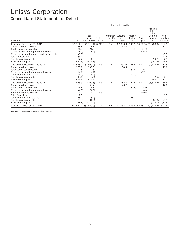## Unisys Corporation **Consolidated Statements of Deficit**

|                                                                     |                | Unisys Corporation                  |                          |                                        |                             |                              |                    |                                                         |                                         |
|---------------------------------------------------------------------|----------------|-------------------------------------|--------------------------|----------------------------------------|-----------------------------|------------------------------|--------------------|---------------------------------------------------------|-----------------------------------------|
| (millions)                                                          | Total          | Total<br>Unisys<br>Corporation      | Stock                    | Common<br>Preferred Stock Par<br>Value | Accumu-<br>lated<br>Deficit | Treasury<br>Stock At<br>Cost | Paid-in<br>Capital | Accumu-<br>lated<br>Other<br>Compre-<br>hensive<br>Loss | Non-<br>controlling<br><b>Interests</b> |
| Balance at December 31, 2011                                        |                | $\$(1,311.0) \$(1,318.1) \$(249.7)$ |                          | \$.4                                   |                             |                              |                    | $\$(2,036.6) \$(48.1) \$(4,217.4 \$(3,700.9)$           | 7.1<br>Ŝ.                               |
| Consolidated net income                                             | 156.8          | 145.6                               |                          |                                        | 145.6                       |                              |                    |                                                         | 11.2                                    |
| Stock-based compensation                                            | 21.2           | 21.2                                |                          |                                        |                             | (.7)                         | 21.9               |                                                         |                                         |
| Dividends declared to preferred holders                             | (16.2)         | (16.2)                              |                          |                                        |                             |                              | (16.2)             |                                                         |                                         |
| Dividends declared to noncontrolling interests                      | (3.5)          |                                     |                          |                                        |                             |                              |                    |                                                         | (3.5)                                   |
| Sale of subsidiary                                                  | (1.4)          |                                     |                          |                                        |                             |                              |                    |                                                         | (1.4)                                   |
| Translation adjustments                                             | 17.7           | 14.8                                |                          |                                        |                             |                              |                    | 14.8                                                    | 2.9                                     |
| Postretirement plans                                                | (452.3)        | (447.5)                             |                          |                                        |                             |                              |                    | (447.5)                                                 | (4.8)                                   |
| Balance at December 31, 2012                                        | (1,588.7)      | (1,600.2)                           | 249.7                    | .4                                     | (1,891.0)                   | (48.8)                       | 4,223.1            | (4, 133.6)                                              | 11.5                                    |
| Consolidated net income                                             | 120.1          | 108.5                               |                          |                                        | 108.5                       |                              |                    |                                                         | 11.6                                    |
| Stock-based compensation<br>Dividends declared to preferred holders | 14.8<br>(12.1) | 14.8<br>(12.1)                      |                          |                                        |                             | (1.9)                        | 16.7<br>(12.1)     |                                                         |                                         |
| Common stock repurchases                                            | (11.7)         | (11.7)                              |                          |                                        |                             | (11.7)                       |                    |                                                         |                                         |
| Translation adjustments                                             | (40.1)         | (42.5)                              |                          |                                        |                             |                              |                    | (42.5)                                                  | 2.4                                     |
| Postretirement plans                                                | 853.8          | 842.7                               |                          |                                        |                             |                              |                    | 842.7                                                   | 11.1                                    |
| Balance at December 31, 2013                                        | (663.9)        | (700.5)                             | 249.7                    | .4                                     | (1,782.5)                   | (62.4)                       | 4,227.7            | (3,333.4)                                               | 36.6                                    |
| Consolidated net income                                             | 59.3           | 46.7                                |                          |                                        | 46.7                        |                              |                    |                                                         | 12.6                                    |
| Stock-based compensation                                            | 13.5           | 13.5                                |                          |                                        |                             | (1.5)                        | 15.0               |                                                         |                                         |
| Dividends declared to preferred holders                             | (4.0)          | (4.0)                               |                          |                                        |                             |                              | (4.0)              |                                                         |                                         |
| Preferred stock conversion                                          |                | $\qquad \qquad -$                   | (249.7)                  | $\cdot$ 1                              |                             |                              | 249.6              |                                                         |                                         |
| Sale of subsidiary                                                  | 1.5            |                                     |                          |                                        |                             |                              |                    |                                                         | 1.5                                     |
| Common stock repurchases                                            | (35.7)         | (35.7)                              |                          |                                        |                             | (35.7)                       |                    |                                                         |                                         |
| Translation adjustments                                             | (66.3)         | (61.0)                              |                          |                                        |                             |                              |                    | (61.0)                                                  | (5.3)                                   |
| Postretirement plans                                                | (756.8)        | (719.0)                             |                          |                                        |                             |                              |                    | (719.0)                                                 | (37.8)                                  |
| Balance at December 31, 2014                                        |                | $\$(1,452.4) \$(1,460.0) \$$        | $\overline{\phantom{m}}$ | \$.5                                   |                             |                              |                    | $\$(1,735.8)$ $\$(99.6)$ $\$(4,488.3)$ $\$(4,113.4)$    | 7.6<br>-Ŝ                               |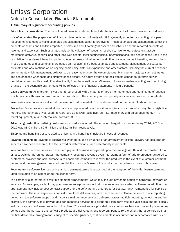### Unisys Corporation **Notes to Consolidated Financial Statements**

#### **1. Summary of significant accounting policies**

**Principles of consolidation** The consolidated financial statements include the accounts of all majority-owned subsidiaries.

**Use of estimates** The preparation of financial statements in conformity with U.S. generally accepted accounting principles requires management to make estimates and assumptions about future events. These estimates and assumptions affect the amounts of assets and liabilities reported, disclosures about contingent assets and liabilities and the reported amounts of revenue and expenses. Such estimates include the valuation of accounts receivable, inventories, outsourcing assets, marketable software, goodwill and other long-lived assets, legal contingencies, indemnifications, and assumptions used in the calculation for systems integration projects, income taxes and retirement and other post-employment benefits, among others. These estimates and assumptions are based on management's best estimates and judgment. Management evaluates its estimates and assumptions on an ongoing basis using historical experience and other factors, including the current economic environment, which management believes to be reasonable under the circumstances. Management adjusts such estimates and assumptions when facts and circumstances dictate. As future events and their effects cannot be determined with precision, actual results could differ significantly from these estimates. Changes in those estimates resulting from continuing changes in the economic environment will be reflected in the financial statements in future periods.

**Cash equivalents** All short-term investments purchased with a maturity of three months or less and certificates of deposit which may be withdrawn at any time at the discretion of the company without penalty are classified as cash equivalents.

**Inventories** Inventories are valued at the lower of cost or market. Cost is determined on the first-in, first-out method.

**Properties** Properties are carried at cost and are depreciated over the estimated lives of such assets using the straight-line method. The estimated lives used, in years, are as follows: buildings,  $20 - 50$ ; machinery and office equipment,  $4 - 7$ ; rental equipment, 4; and internal-use software,  $3 - 10$ .

**Advertising costs** All advertising costs are expensed as incurred. The amount charged to expense during 2014, 2013 and 2012 was \$8.0 million, \$2.5 million and \$3.1 million, respectively.

**Shipping and handling** Costs related to shipping and handling is included in cost of revenue.

**Revenue recognition** Revenue is recognized when persuasive evidence of an arrangement exists, delivery has occurred or services have been rendered, the fee is fixed or determinable, and collectability is probable.

Revenue from hardware sales with standard payment terms is recognized upon the passage of title and the transfer of risk of loss. Outside the United States, the company recognizes revenue even if it retains a form of title to products delivered to customers, provided the sole purpose is to enable the company to recover the products in the event of customer payment default and the arrangement does not prohibit the customer's use of the product in the ordinary course of business.

Revenue from software licenses with standard payment terms is recognized at the inception of the initial license term and upon execution of an extension to the license term.

The company also enters into multiple-element arrangements, which may include any combination of hardware, software or services. For example, a client may purchase an enterprise server that includes operating system software. In addition, the arrangement may include post-contract support for the software and a contract for post-warranty maintenance for service of the hardware. These arrangements consist of multiple deliverables, with hardware and software delivered in one reporting period and the software support and hardware maintenance services delivered across multiple reporting periods. In another example, the company may provide desktop managed services to a client on a long term multiple year basis and periodically sell hardware and software products to the client. The services are provided on a continuous basis across multiple reporting periods and the hardware and software products are delivered in one reporting period. To the extent that a deliverable in a multiple-deliverable arrangement is subject to specific guidance, that deliverable is accounted for in accordance with such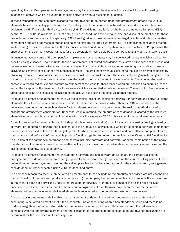specific guidance. Examples of such arrangements may include leased hardware which is subject to specific leasing guidance or software which is subject to specific software revenue recognition guidance.

In these transactions, the company allocates the total revenue to be earned under the arrangement among the various elements based on a selling price hierarchy. The selling price for a deliverable is based on its vendor specific objective evidence (VSOE) if available, third party evidence (TPE) if VSOE is not available, or the best estimated selling price (ESP) if neither VSOE nor TPE is available. VSOE of selling price is based upon the normal pricing and discounting practices for those products and services when sold separately. TPE of selling price is based on evaluating largely similar and interchangeable competitor products or services in standalone sales to similarly situated customers. ESP is established considering factors such as margin objectives, discounts off of list prices, market conditions, competition and other factors. ESP represents the price at which the company would transact for the deliverable if it were sold by the company regularly on a standalone basis.

As mentioned above, some of the company's multiple-element arrangements may include leased hardware which is subject to specific leasing guidance. Revenue under these arrangements is allocated considering the relative selling prices of the lease and non-lease elements. Lease deliverables include hardware, financing, maintenance and other executory costs, while non-lease deliverables generally consist of non-maintenance services. The amount of revenue allocated to the lease deliverables begins by allocating revenue to maintenance and other executory costs plus a profit thereon. These elements are generally recognized over the term of the lease. The remaining amounts are allocated to the hardware and financing elements. The amount allocated to hardware is recognized as revenue monthly over the term of the lease for those leases which are classified as operating leases and at the inception of the lease term for those leases which are classified as sales-type leases. The amount of finance income attributable to sales-type leases is recognized on the accrual basis using the effective interest method.

For multiple-element arrangements that involve the licensing, selling or leasing of software, for software and software-related elements, the allocation of revenue is based on VSOE. There may be cases in which there is VSOE of fair value of the undelivered elements but no such evidence for the delivered elements. In these cases, the residual method is used to allocate the arrangement consideration. Under the residual method, the amount of consideration allocated to the delivered elements equals the total arrangement consideration less the aggregate VSOE of fair value of the undelivered elements.

For multiple-element arrangements that include products or services that (a) do not include the licensing, selling or leasing of software, or (b) contain software that is incidental to the products or services as a whole or (c) contain software components that are sold, licensed or leased with tangible products when the software components and non-software components (i.e., the hardware and software) of the tangible product function together to deliver the tangible product's essential functionality (e.g., sales of the company's enterprise-class servers including hardware and software), or some combination of the above, the allocation of revenue is based on the relative selling prices of each of the deliverables in the arrangement based on the selling price hierarchy, discussed above.

For multiple-element arrangements that include both software and non-software deliverables, the company allocates arrangement consideration to the software group and to the non-software group based on the relative selling prices of the deliverables in the arrangement based on the selling price hierarchy discussed above. For the software group, arrangement consideration is further allocated using VSOE as described above.

The company recognizes revenue on delivered elements only if: (a) any undelivered products or services are not essential to the functionality of the delivered products or services, (b) the company has an enforceable claim to receive the amount due in the event it does not deliver the undelivered products or services, (c) there is evidence of the selling price for each undelivered products or services, and (d) the revenue recognition criteria otherwise have been met for the delivered elements. Otherwise, revenue on delivered elements is recognized as the undelivered elements are delivered.

The company evaluates each deliverable in an arrangement to determine whether it represents a separate unit of accounting. A delivered element constitutes a separate unit of accounting when it has standalone value and there is no customer-negotiated refund or return right for the delivered elements. If these criteria are not met, the deliverable is combined with the undelivered elements and the allocation of the arrangement consideration and revenue recognition are determined for the combined unit as a single unit.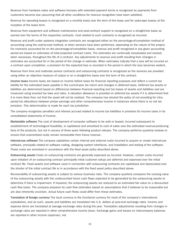Revenue from hardware sales and software licenses with extended payment terms is recognized as payments from customers become due (assuming that all other conditions for revenue recognition have been satisfied).

Revenue for operating leases is recognized on a monthly basis over the term of the lease and for sales-type leases at the inception of the lease term.

Revenue from equipment and software maintenance and post-contract support is recognized on a straight-line basis as earned over the terms of the respective contracts. Cost related to such contracts is recognized as incurred.

Revenue and profit under systems integration contracts are recognized either on the percentage-of-completion method of accounting using the cost-to-cost method, or when services have been performed, depending on the nature of the project. For contracts accounted for on the percentage-of-completion basis, revenue and profit recognized in any given accounting period are based on estimates of total projected contract costs. The estimates are continually reevaluated and revised, when necessary, throughout the life of a contract. Any adjustments to revenue and profit resulting from changes in estimates are accounted for in the period of the change in estimate. When estimates indicate that a loss will be incurred on a contract upon completion, a provision for the expected loss is recorded in the period in which the loss becomes evident.

Revenue from time and materials service contracts and outsourcing contracts is recognized as the services are provided using either an objective measure of output or on a straight-line basis over the term of the contract.

**Income taxes** Income taxes are based on income before taxes for financial reporting purposes and reflect a current tax liability for the estimated taxes payable in the current-year tax return and changes in deferred taxes. Deferred tax assets or liabilities are determined based on differences between financial reporting and tax bases of assets and liabilities and are measured using enacted tax laws and rates. A valuation allowance is provided on deferred tax assets if it is determined that it is more likely than not that the asset will not be realized. The company has elected the policy of not providing for intraperiod tax allocations between pretax earnings and other comprehensive income in instances where there is no net tax provision. This determination is made for each tax jurisdiction.

The company recognizes penalties and interest accrued related to income tax liabilities in provision for income taxes in its consolidated statements of income.

**Marketable software** The cost of development of computer software to be sold or leased, incurred subsequent to establishment of technological feasibility, is capitalized and amortized to cost of sales over the estimated revenue-producing lives of the products, but not in excess of three years following product release. The company performs quarterly reviews to ensure that unamortized costs remain recoverable from future revenue.

**Internal-use software** The company capitalizes certain internal and external costs incurred to acquire or create internal-use software, principally related to software coding, designing system interfaces, and installation and testing of the software. These costs are amortized in accordance with the fixed asset policy described above.

**Outsourcing assets** Costs on outsourcing contracts are generally expensed as incurred. However, certain costs incurred upon initiation of an outsourcing contract (principally initial customer setup) are deferred and expensed over the initial contract life. Fixed assets and software used in connection with outsourcing contracts are capitalized and depreciated over the shorter of the initial contract life or in accordance with the fixed asset policy described above.

Recoverability of outsourcing assets is subject to various business risks. The company quarterly compares the carrying value of the outsourcing assets with the undiscounted future cash flows expected to be generated by the outsourcing assets to determine if there is impairment. If impaired, the outsourcing assets are reduced to an estimated fair value on a discounted cash flow basis. The company prepares its cash flow estimates based on assumptions that it believes to be reasonable but are also inherently uncertain. Actual future cash flows could differ from these estimates.

**Translation of foreign currency** The local currency is the functional currency for most of the company's international subsidiaries, and as such, assets and liabilities are translated into U.S. dollars at year-end exchange rates. Income and expense items are translated at average exchange rates during the year. Translation adjustments resulting from changes in exchange rates are reported in other comprehensive income (loss). Exchange gains and losses on intercompany balances are reported in other income (expense), net.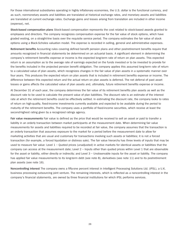For those international subsidiaries operating in highly inflationary economies, the U.S. dollar is the functional currency, and as such, nonmonetary assets and liabilities are translated at historical exchange rates, and monetary assets and liabilities are translated at current exchange rates. Exchange gains and losses arising from translation are included in other income (expense), net.

**Stock-based compensation plans** Stock-based compensation represents the cost related to stock-based awards granted to employees and directors. The company recognizes compensation expense for the fair value of stock options, which have graded vesting, on a straight-line basis over the requisite service period. The company estimates the fair value of stock options using a Black-Scholes valuation model. The expense is recorded in selling, general and administrative expenses.

**Retirement benefits** Accounting rules covering defined benefit pension plans and other postretirement benefits require that amounts recognized in financial statements be determined on an actuarial basis. A significant element in determining the company's retirement benefits expense or income is the expected long-term rate of return on plan assets. This expected return is an assumption as to the average rate of earnings expected on the funds invested or to be invested to provide for the benefits included in the projected pension benefit obligation. The company applies this assumed long-term rate of return to a calculated value of plan assets, which recognizes changes in the fair value of plan assets in a systematic manner over four years. This produces the expected return on plan assets that is included in retirement benefits expense or income. The difference between this expected return and the actual return on plan assets is deferred. The net deferral of past asset losses or gains affects the calculated value of plan assets and, ultimately, future retirement benefits expense or income.

At December 31 of each year, the company determines the fair value of its retirement benefits plan assets as well as the discount rate to be used to calculate the present value of plan liabilities. The discount rate is an estimate of the interest rate at which the retirement benefits could be effectively settled. In estimating the discount rate, the company looks to rates of return on high-quality, fixed-income investments currently available and expected to be available during the period to maturity of the retirement benefits. The company uses a portfolio of fixed-income securities, which receive at least the second-highest rating given by a recognized ratings agency.

**Fair value measurements** Fair value is defined as the price that would be received to sell an asset or paid to transfer a liability in an orderly transaction between market participants at the measurement date. When determining fair value measurements for assets and liabilities required to be recorded at fair value, the company assumes that the transaction is an orderly transaction that assumes exposure to the market for a period before the measurement date to allow for marketing activities that are usual and customary for transactions involving such assets or liabilities; it is not a forced transaction (for example, a forced liquidation or distress sale). The fair value hierarchy has three levels of inputs that may be used to measure fair value: Level 1 – Quoted prices (unadjusted) in active markets for identical assets or liabilities that the company can access at the measurement date; Level 2 – Inputs other than quoted prices within Level 1 that are observable for the asset or liability, either directly or indirectly; and Level 3 – Unobservable inputs for the asset or liability. The company has applied fair value measurements to its long-term debt (see note 8), derivatives (see note 11) and to its postretirement plan assets (see note 16).

**Noncontrolling interest** The company owns a fifty-one percent interest in Intelligent Processing Solutions Ltd. (iPSL), a U.K. business processing outsourcing joint venture. The remaining interests, which is reflected as a noncontrolling interest in the company's financial statements, are owned by three financial institutions for which iPSL performs services.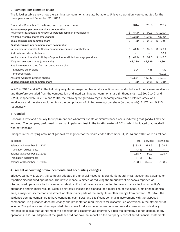#### **2. Earnings per common share**

The following table shows how the earnings per common share attributable to Unisys Corporation were computed for the three years ended December 31, 2014.

| Year ended December 31 (millions, except per share data)                     |    | 2014   |    | 2013   | 2012      |  |
|------------------------------------------------------------------------------|----|--------|----|--------|-----------|--|
| Basic earnings per common share computation                                  |    |        |    |        |           |  |
| Net income attributable to Unisys Corporation common stockholders            | S  | 44.0   | S. | 92.3   | \$129.4   |  |
| Weighted average shares (thousands)                                          |    | 49,280 |    | 43,899 | 43,864    |  |
| Basic earnings per common share                                              | -S | .89    | S  | 2.10   | 2.95<br>S |  |
| Diluted earnings per common share computation                                |    |        |    |        |           |  |
| Net income attributable to Unisys Corporation common stockholders            | Ŝ. | 44.0   | S. | 92.3   | \$129.4   |  |
| Add preferred stock dividends                                                |    |        |    |        | 16.2      |  |
| Net income attributable to Unisys Corporation for diluted earnings per share | S  | 44.0   | S. | 92.3   | \$145.6   |  |
| Weighted average shares (thousands)                                          |    | 49,280 |    | 43,899 | 43,864    |  |
| Plus incremental shares from assumed conversions                             |    |        |    |        |           |  |
| Employee stock plans                                                         |    | 304    |    | 448    | 439       |  |
| Preferred stock                                                              |    |        |    | —      | 6,913     |  |
| Adjusted weighted average shares                                             |    | 49,584 |    | 44,347 | 51,216    |  |
| Diluted earnings per common share                                            | s  | .89    | S  | 2.08   | 2.84<br>S |  |

In 2014, 2013 and 2012, the following weighted-average number of stock options and restricted stock units were antidilutive and therefore excluded from the computation of diluted earnings per common share (in thousands): 1,929; 2,142; and 2,261, respectively. In 2014 and 2013, the following weighted-average mandatory convertible preferred stock was antidilutive and therefore excluded from the computation of diluted earnings per share (in thousands): 1,171 and 6,913, respectively.

#### **3. Goodwill**

Goodwill is reviewed annually for impairment and whenever events or circumstances occur indicating that goodwill may be impaired. The company performed its annual impairment test in the fourth quarter of 2014, which indicated that goodwill was not impaired.

Changes in the carrying amount of goodwill by segment for the years ended December 31, 2014 and 2013 were as follows:

| (millions)                   | Total   | Services | Technology |
|------------------------------|---------|----------|------------|
| Balance at December 31, 2012 | \$192.3 | \$83.6   | \$108.7    |
| Translation adjustments      | (3.6)   | (3.6)    |            |
| Balance at December 31, 2013 | 188.7   | 80.0     | 108.7      |
| Translation adjustments      | (4.8)   | (4.8)    |            |
| Balance at December 31, 2014 | \$183.9 | \$75.2   | \$108.7    |

#### **4. Recent accounting pronouncements and accounting changes**

Effective January 1, 2014, the company adopted the Financial Accounting Standards Board (FASB) accounting guidance on reporting discontinued operations. The new guidance is aimed at reducing the frequency of disposals reported as discontinued operations by focusing on strategic shifts that have or are expected to have a major effect on an entity's operations and financial results. Such a shift could include the disposal of a major line of business, a major geographical area, a major equity method investment or other major parts of the entity. In another change from current U.S. GAAP, the guidance permits companies to have continuing cash flows and significant continuing involvement with the disposed component. The guidance does not change the presentation requirements for discontinued operations in the statement of income. The guidance requires expanded disclosures for discontinued operations and new disclosures for individually material disposals that do not meet the definition of a discontinued operation. Since the company did not dispose of any operations in 2014, adoption of the guidance did not have an impact on the company's consolidated financial statements.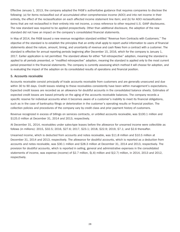Effective January 1, 2013, the company adopted the FASB's authoritative guidance that requires companies to disclose the following: (a) for items reclassified out of accumulated other comprehensive income (AOCI) and into net income in their entirety, the effect of the reclassification on each affected income statement line item; and (b) for AOCI reclassification items that are not reclassified in their entirety into net income, a cross reference to other required U.S. GAAP disclosures. The new standard was required to be applied prospectively. Other than additional disclosure, the adoption of the new standard did not have an impact on the company's consolidated financial statements.

In May of 2014, the FASB issued a new revenue recognition standard entitled "Revenue from Contracts with Customers." The objective of the standard is to establish the principles that an entity shall apply to report useful information to users of financial statements about the nature, amount, timing, and uncertainty of revenue and cash flows from a contract with a customer. The standard is effective for annual reporting periods beginning after December 15, 2016, which for the company is January 1, 2017. Earlier application is not permitted. The standard allows for either "full retrospective" adoption, meaning the standard is applied to all periods presented, or "modified retrospective" adoption, meaning the standard is applied only to the most current period presented in the financial statements. The company is currently assessing which method it will choose for adoption, and is evaluating the impact of the adoption on its consolidated results of operations and financial position.

#### **5. Accounts receivable**

Accounts receivable consist principally of trade accounts receivable from customers and are generally unsecured and due within 30 to 90 days. Credit losses relating to these receivables consistently have been within management's expectations. Expected credit losses are recorded as an allowance for doubtful accounts in the consolidated balance sheets. Estimates of expected credit losses are based primarily on the aging of the accounts receivable balances. The company records a specific reserve for individual accounts when it becomes aware of a customer's inability to meet its financial obligations, such as in the case of bankruptcy filings or deterioration in the customer's operating results or financial position. The collection policies and procedures of the company vary by credit class and prior payment history of customers.

Revenue recognized in excess of billings on services contracts, or unbilled accounts receivable, was \$100.1 million and \$125.0 million at December 31, 2014 and 2013, respectively.

At December 31, 2014, receivables under sales-type leases before the allowance for unearned income were collectible as follows (in millions): 2015, \$32.5; 2016, \$27.6; 2017, \$23.1; 2018, \$22.9; 2019, \$7.1; and \$2.6 thereafter.

Unearned income, which is deducted from accounts and notes receivable, was \$11.8 million and \$10.5 million at December 31, 2014 and 2013, respectively. The allowance for doubtful accounts, which is reported as a deduction from accounts and notes receivable, was \$30.1 million and \$28.3 million at December 31, 2014 and 2013, respectively. The provision for doubtful accounts, which is reported in selling, general and administrative expenses in the consolidated statements of income, was expense (income) of \$2.7 million, \$(.6) million and \$(2.7) million, in 2014, 2013 and 2012, respectively.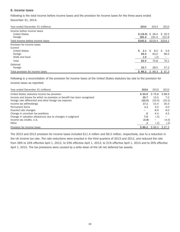#### **6. Income taxes**

Following is the total income before income taxes and the provision for income taxes for the three years ended December 31, 2014.

| Year ended December 31 (millions)                                                                    | 2014                             | 2013                              | 2012                                                 |
|------------------------------------------------------------------------------------------------------|----------------------------------|-----------------------------------|------------------------------------------------------|
| Income before income taxes<br><b>United States</b><br>Foreign                                        | 165.4                            | \$ (19.9) \$ 28.4<br>191.0        | \$32.5<br>221.6                                      |
| Total income before income taxes                                                                     | \$145.5                          | \$219.4 \$254.1                   |                                                      |
| Provision for income taxes<br>Current<br><b>United States</b><br>Foreign<br>State and local<br>Total | Ŝ.<br>2.1<br>59.4<br>1.0<br>62.5 | S.<br>8.0<br>63.0<br>(.2)<br>70.8 | Ŝ<br>3.6<br>66.5<br>$\overline{\phantom{0}}$<br>70.1 |
| Deferred<br>Foreign                                                                                  | 23.7                             | 28.5                              | 27.2                                                 |
| Total provision for income taxes                                                                     | \$86.2                           | \$99.3                            | \$97.3                                               |

Following is a reconciliation of the provision for income taxes at the United States statutory tax rate to the provision for income taxes as reported:

| Year ended December 31 (millions)                                       | 2014       | 2013              | 2012   |
|-------------------------------------------------------------------------|------------|-------------------|--------|
| United States statutory income tax provision                            | \$50.9     | \$76.8            | \$88.9 |
| Income and losses for which no provision or benefit has been recognized | 35.7       | 13.5              | 7.0    |
| Foreign rate differential and other foreign tax expense                 | (22.0)     | (23.0)            | (32.2) |
| Income tax withholdings                                                 | 17.1       | 15.4              | 20.3   |
| Permanent items                                                         | 1.1        | 4.0               | 4.0    |
| Enacted rate changes                                                    |            | 8.9               | 9.0    |
| Change in uncertain tax positions                                       | $\cdot$ .2 | 4.4               | 4.5    |
| Change in valuation allowances due to changes in judgment               | 7.0        | (.5)              | -      |
| Income tax credits, U.S.                                                | (3.9)      | $\qquad \qquad -$ | (4.0)  |
| Other                                                                   | .1         | (.2)              | (.2)   |
| Provision for income taxes                                              |            | $$86.2 \$99.3$    | \$97.3 |

The 2013 and 2012 provision for income taxes included \$11.4 million and \$9.2 million, respectively, due to a reduction in the UK income tax rate. The rate reductions were enacted in the third quarters of 2013 and 2012, and reduced the rate from 26% to 24% effective April 1, 2012, to 23% effective April 1, 2013, to 21% effective April 1, 2014 and to 20% effective April 1, 2015. The tax provisions were caused by a write down of the UK net deferred tax assets.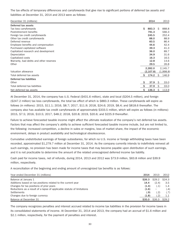The tax effects of temporary differences and carryforwards that give rise to significant portions of deferred tax assets and liabilities at December 31, 2014 and 2013 were as follows:

| December 31 (millions)                 | 2014        | 2013        |
|----------------------------------------|-------------|-------------|
| Deferred tax assets                    |             |             |
| Tax loss carryforwards                 | Ŝ.<br>883.3 | 888.8<br>S  |
| Postretirement benefits                | 791.3       | 566.3       |
| Foreign tax credit carryforwards       | 245.5       | 252.4       |
| Other tax credit carryforwards         | 88.0        | 88.9        |
| Deferred revenue                       | 60.5        | 86.4        |
| Employee benefits and compensation     | 44.6        | 42.4        |
| Purchased capitalized software         | 39.3        | 41.3        |
| Capitalized research and development   | 36.0        | 89.7        |
| Depreciation                           | 34.9        | 31.6        |
| Capitalized costs                      | 16.3        | 16.5        |
| Warranty, bad debts and other reserves | 12.8        | 14.6        |
| Other                                  | 29.5        | 26.8        |
|                                        | 2,282.0     | 2,145.7     |
| Valuation allowance                    | (2,107.8)   | (1,998.8)   |
| Total deferred tax assets              | Ŝ.<br>174.2 | Ŝ.<br>146.9 |
| Deferred tax liabilities               |             |             |
| Other                                  | 37.9<br>\$  | Ŝ<br>33.0   |
| Total deferred tax liabilities         | \$<br>37.9  | Ŝ<br>33.0   |
| Net deferred tax assets                | \$<br>136.3 | 113.9<br>S  |

At December 31, 2014, the company has U.S. Federal (\$431.6 million), state and local (\$204.5 million), and foreign (\$247.2 million) tax loss carryforwards, the total tax effect of which is \$883.3 million. These carryforwards will expire as follows (in millions): 2015, \$11.1; 2016, \$8.7; 2017, \$11.9; 2018, \$24.6; 2019, \$8.4; and \$818.6 thereafter. The company also has available tax credit carryforwards of approximately \$333.5 million, which will expire as follows (in millions): 2015, \$7.5; 2016, \$10.5; 2017, \$48.2; 2018, \$20.8; 2019, \$20.6; and \$225.9 thereafter.

Failure to achieve forecasted taxable income might affect the ultimate realization of the company's net deferred tax assets. Factors that may affect the company's ability to achieve sufficient forecasted taxable income include, but are not limited to, the following: increased competition, a decline in sales or margins, loss of market share, the impact of the economic environment, delays in product availability and technological obsolescence.

Cumulative undistributed earnings of foreign subsidiaries, for which no U.S. income or foreign withholding taxes have been recorded, approximated \$1,279.7 million at December 31, 2014. As the company currently intends to indefinitely reinvest all such earnings, no provision has been made for income taxes that may become payable upon distribution of such earnings, and it is not practicable to determine the amount of the related unrecognized deferred income tax liability.

Cash paid for income taxes, net of refunds, during 2014, 2013 and 2012 was \$73.9 million, \$63.8 million and \$39.9 million, respectively.

A reconciliation of the beginning and ending amount of unrecognized tax benefits is as follows:

| Year ended December 31 (millions)                                      | 2014   | 2013                     | 2012          |
|------------------------------------------------------------------------|--------|--------------------------|---------------|
| Balance at January 1                                                   | S26.3  | \$29.2                   | \$24.3        |
| Additions based on tax positions related to the current year           | 14.4   | (2.4)                    | 3.5           |
| Changes for tax positions of prior years                               | (1.4)  |                          | 1.4           |
| Reductions as a result of a lapse of applicable statute of limitations | (1.6)  | $\overline{\phantom{m}}$ | (.4)          |
| <b>Settlements</b>                                                     | (.9)   | (2)                      | (.7)          |
| Changes due to foreign currency                                        | (1.8)  |                          | 1.1           |
| Balance at December 31                                                 | \$35.0 | \$26.3                   | <b>\$29.2</b> |

The company recognizes penalties and interest accrued related to income tax liabilities in the provision for income taxes in its consolidated statements of income. At December 31, 2014 and 2013, the company had an accrual of \$1.6 million and \$2.1 million, respectively, for the payment of penalties and interest.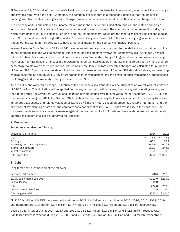At December 31, 2014, all of the company's liability for unrecognized tax benefits, if recognized, would affect the company's effective tax rate. Within the next 12 months, the company believes that it is reasonably possible that the amount of unrecognized tax benefits may significantly change; however, various events could cause this belief to change in the future.

The company and its subsidiaries file income tax returns in the U.S. federal jurisdiction, and various states and foreign jurisdictions. Several U.S. state and foreign income tax audits are in process. The company is under an audit in India, for which years prior to 2006 are closed. For Brazil and the United Kingdom, which are the most significant jurisdictions outside the U.S., the audit periods through 2009 and 2010, respectively, are closed. All of the various ongoing income tax audits throughout the world are not expected to have a material impact on the company's financial position.

Internal Revenue Code Sections 382 and 383 provide annual limitations with respect to the ability of a corporation to utilize its net operating loss (as well as certain built-in losses) and tax credit carryforwards, respectively (Tax Attributes), against future U.S. taxable income, if the corporation experiences an "ownership change." In general terms, an ownership change may result from transactions increasing the ownership of certain stockholders in the stock of a corporation by more than 50 percentage points over a three-year period. The company regularly monitors ownership changes (as calculated for purposes of Section 382). The company has determined that, for purposes of the rules of Section 382 described above, an ownership change occurred in February 2011. Any future transaction or transactions and the timing of such transaction or transactions could trigger additional ownership changes under Section 382.

As a result of the ownership change, utilization of the company's Tax Attributes will be subject to an overall annual limitation of \$70.6 million. This limitation will be applied first to any recognized built in losses, then to any net operating losses, and then to any other Tax Attributes. Any unused limitation may be carried over to later years. As of December 31, 2013, due to the ownership change in 2011, the Section 382 limitation and accompanying built in losses caused the company to reduce its deferred tax assets and related valuation allowance by \$389.6 million. Based on presently available information and the existence of tax planning strategies, the company does not expect to incur a U.S. cash tax liability in the near term. The company maintains a full valuation allowance against the realization of all U.S. deferred tax assets as well as certain foreign deferred tax assets in excess of deferred tax liabilities.

#### **7. Properties**

Properties comprise the following:

| December 31 (millions)         | 2014      | 2013      |
|--------------------------------|-----------|-----------|
| Land                           | 2.8       | 3.2       |
| <b>Buildings</b>               | 80.1      | 86.1      |
| Machinery and office equipment | 644.9     | 677.8     |
| Internal-use software          | 257.7     | 244.6     |
| Rental equipment               | 73.9      | 83.8      |
| Total properties               | \$1,059.4 | \$1,095.5 |

#### **8. Debt**

Long-term debt is comprised of the following:

| December 31 (millions)                        | 2014            | 2013    |
|-----------------------------------------------|-----------------|---------|
| 6.25% senior notes due 2017<br>Capital leases | \$210.0<br>14.0 | \$210.0 |
| Total<br>$Less - current maturities$          | 224.0<br>1.8    | 210.0   |
| Total long-term debt                          | <b>S222.2</b>   | \$210.0 |

All \$210.0 million of 6.25% long-term debt matures in 2017. Capital leases maturities in 2015, 2016, 2017, 2018, 2019 and thereafter are \$1.8 million, \$2.6 million, \$2.7 million, \$2.4 million, \$1.3 million and \$3.2 million, respectively.

Cash paid for interest during 2014, 2013 and 2012 was \$13.2 million, \$12.9 million and \$42.5 million, respectively. Capitalized interest expense during 2014, 2013 and 2012 was \$4.0 million, \$3.2 million and \$5.3 million, respectively.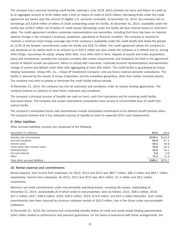The company has a secured revolving credit facility, expiring in June 2018, which provides for loans and letters of credit up to an aggregate amount of \$150 million (with a limit on letters of credit of \$100 million). Borrowing limits under the credit agreement are based upon the amount of eligible U.S. accounts receivable. At December 31, 2014, the company had no borrowings and \$18.8 million of letters of credit outstanding under the facility. At December 31, 2014, availability under the facility was \$100.0 million net of letters of credit issued. Borrowings under the facility will bear interest based on short-term rates. The credit agreement contains customary representations and warranties, including that there has been no material adverse change in the company's business, properties, operations or financial condition. The company is required to maintain a minimum fixed charge coverage ratio if the company's availability under the credit facility falls below the greater of 12.5% of the lenders' commitments under the facility and \$18.75 million. The credit agreement allows the company to pay dividends on its capital stock in an amount up to \$22.5 million per year unless the company is in default and to, among other things, repurchase its equity, prepay other debt, incur other debt or liens, dispose of assets and make acquisitions, loans and investments, provided the company complies with certain requirements and limitations set forth in the agreement. Events of default include non-payment, failure to comply with covenants, materially incorrect representations and warranties, change of control and default under other debt aggregating at least \$50 million. The credit facility is guaranteed by Unisys Holding Corporation, Unisys NPL, Inc., Unisys AP Investment Company I and any future material domestic subsidiaries. The facility is secured by the assets of Unisys Corporation and the subsidiary guarantors, other than certain excluded assets. The company may elect to prepay or terminate the credit facility without penalty.

At December 31, 2014, the company has met all covenants and conditions under its various lending agreements. The company expects to continue to meet these covenants and conditions.

The company's principal sources of liquidity are cash on hand, cash from operations and its revolving credit facility, discussed above. The company and certain international subsidiaries have access to uncommitted lines of credit from various banks.

The company's anticipated future cash expenditures include anticipated contributions to its defined benefit pension plans. The company believes that it has adequate sources of liquidity to meet its expected 2015 cash requirements.

#### **9. Other liabilities**

Other accrued liabilities (current) are comprised of the following:

| December 31 (millions)          | 2014    | 2013    |
|---------------------------------|---------|---------|
| Payrolls and commissions        | \$109.3 | \$103.9 |
| Accrued vacations               | 60.8    | 67.2    |
| Income taxes                    | 58.3    | 40.9    |
| Taxes other than income taxes   | 53.8    | 62.4    |
| Postretirement                  | 22.6    | 25.1    |
| Accrued interest                | 4.9     | 4.9     |
| Other                           | 75.4    | 71.3    |
| Total other accrued liabilities | \$385.1 | \$375.7 |

#### **10. Rental expense and commitments**

Rental expense, less income from subleases, for 2014, 2013 and 2012 was \$83.7 million, \$85.3 million and \$84.7 million, respectively. Income from subleases, for 2014, 2013 and 2012 was \$8.5 million, \$7.4 million and \$8.5 million, respectively.

Minimum net rental commitments under noncancelable operating leases, including idle leases, outstanding at December 31, 2014, substantially all of which relate to real properties, were as follows: 2015, \$58.2 million; 2016, \$47.2 million; 2017, \$38.9 million; 2018, \$26.6 million; 2019, \$19.9 million; and \$34.3 million thereafter. Such rental commitments have been reduced by minimum sublease rentals of \$32.0 million, due in the future under noncancelable subleases.

At December 31, 2014, the company had outstanding standby letters of credit and surety bonds totaling approximately \$343 million related to performance and payment guarantees. On the basis of experience with these arrangements, the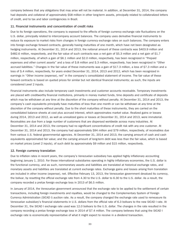company believes that any obligations that may arise will not be material. In addition, at December 31, 2014, the company had deposits and collateral of approximately \$58 million in other long-term assets, principally related to collateralized letters of credit, and to tax and labor contingencies in Brazil.

#### **11. Financial instruments and concentration of credit risks**

Due to its foreign operations, the company is exposed to the effects of foreign currency exchange rate fluctuations on the U.S. dollar, principally related to intercompany account balances. The company uses derivative financial instruments to reduce its exposure to market risks from changes in foreign currency exchange rates on such balances. The company enters into foreign exchange forward contracts, generally having maturities of one month, which have not been designated as hedging instruments. At December 31, 2014 and 2013, the notional amount of these contracts was \$403.9 million and \$482.6 million, respectively, and the fair value of such contracts was a net gain of \$5.3 million and a net gain of \$1.7 million, respectively, of which a gain of \$6.1 million and \$2.0 million, respectively, has been recognized in "Prepaid expenses and other current assets" and a loss of \$.8 million and \$.3 million, respectively, has been recognized in "Other accrued liabilities." Changes in the fair value of these instruments was a gain of \$17.3 million, a loss of \$7.3 million and a loss of \$.4 million, respectively, for years ended December 31, 2014, 2013 and 2012, which has been recognized in earnings in "Other income (expense), net" in the company's consolidated statement of income. The fair value of these forward contracts is based on quoted prices for similar but not identical financial instruments; as such, the inputs are considered Level 2 inputs.

Financial instruments also include temporary cash investments and customer accounts receivable. Temporary investments are placed with creditworthy financial institutions, primarily in money market funds, time deposits and certificate of deposits which may be withdrawn at any time at the discretion of the company without penalty. At December 31, 2014 and 2013, the company's cash equivalents principally have maturities of less than one month or can be withdrawn at any time at the discretion of the company without penalty. Due to the short maturities of these instruments, they are carried on the consolidated balance sheets at cost plus accrued interest, which approximates market value. Realized gains or losses during 2014, 2013 and 2012, as well as unrealized gains or losses at December 31, 2014 and 2013, were immaterial. Receivables are due from a large number of customers that are dispersed worldwide across many industries. At December 31, 2014 and 2013, the company had no significant concentrations of credit risk with any one customer. At December 31, 2014 and 2013, the company had approximately \$94 million and \$79 million, respectively, of receivables due from various U.S. federal governmental agencies. At December 31, 2014 and 2013, the carrying amount of cash and cash equivalents approximated fair value; and the carrying amount of long-term debt was less than the fair value, which is based on market prices (Level 2 inputs), of such debt by approximately \$9 million and \$15 million, respectively.

#### **12. Foreign currency translation**

Due to inflation rates in recent years, the company's Venezuelan subsidiary has applied highly inflationary accounting beginning January 1, 2010. For those international subsidiaries operating in highly inflationary economies, the U.S. dollar is the functional currency, and as such, nonmonetary assets and liabilities are translated at historical exchange rates, and monetary assets and liabilities are translated at current exchange rates. Exchange gains and losses arising from translation are included in other income (expense), net. Effective February 13, 2013, the Venezuelan government devalued its currency, the bolivar, by resetting the official exchange rate from 4.30 to the U.S. dollar to 6.30 to the U.S. dollar. As a result, the company recorded a pretax foreign exchange loss in 2013 of \$6.5 million.

In January of 2014, the Venezuelan government announced that the exchange rate to be applied to the settlement of certain transactions, including foreign investments and royalties, would be changed to the Complementary System of Foreign Currency Administration (SICAD I) auction rate. As a result, the company changed the exchange rate used to remeasure its Venezuelan subsidiary's financial statements in U.S. dollars from the official rate of 6.3 bolivars to the new SICAD I rate. At December 31, the SICAD I exchange rate used was 12.0 bolivars to the U.S. dollar. The changes in the rate resulted in the company recording a pretax foreign exchange loss in 2014 of \$7.4 million. The company believes that using the SICAD I exchange rate is economically representative of what it might expect to receive in a dividend transaction.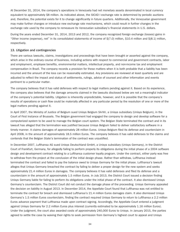At December 31, 2014, the company's operations in Venezuela had net monetary assets denominated in local currency equivalent to approximately \$8 million. As indicated above, the SICAD I exchange rate is determined by periodic auctions and, therefore, the potential exists for it to change significantly in future quarters. Additionally, the Venezuelan government may make further changes or introduce new exchange rate mechanisms, which could result in further changes in the exchange rate used by the company to remeasure its Venezuelan subsidiary's financial statements in U.S. dollars.

During the years ended December 31, 2014, 2013 and 2012, the company recognized foreign exchange (losses) gains in "Other income (expense), net" in its consolidated statements of income of \$(7.0) million, \$10.4 million and \$(8.1) million, respectively.

#### **13. Litigation and contingencies**

There are various lawsuits, claims, investigations and proceedings that have been brought or asserted against the company, which arise in the ordinary course of business, including actions with respect to commercial and government contracts, labor and employment, employee benefits, environmental matters, intellectual property, and non-income tax and employment compensation in Brazil. The company records a provision for these matters when it is both probable that a liability has been incurred and the amount of the loss can be reasonably estimated. Any provisions are reviewed at least quarterly and are adjusted to reflect the impact and status of settlements, rulings, advice of counsel and other information and events pertinent to a particular matter.

The company believes that it has valid defenses with respect to legal matters pending against it. Based on its experience, the company also believes that the damage amounts claimed in the lawsuits disclosed below are not a meaningful indicator of the company's potential liability. Litigation is inherently unpredictable, however, and it is possible that the company's results of operations or cash flow could be materially affected in any particular period by the resolution of one or more of the legal matters pending against it.

In April 2007, the Ministry of Justice of Belgium sued Unisys Belgium SA-NV, a Unisys subsidiary (Unisys Belgium), in the Court of First Instance of Brussels. The Belgian government had engaged the company to design and develop software for a computerized system to be used to manage the Belgian court system. The Belgian State terminated the contract and in its lawsuit has alleged that the termination was justified because Unisys Belgium failed to deliver satisfactory software in a timely manner. It claims damages of approximately 28 million Euros. Unisys Belgium filed its defense and counterclaim in April 2008, in the amount of approximately 18.5 million Euros. The company believes it has valid defenses to the claims and contends that the Belgian State's termination of the contract was unjustified.

In December 2007, Lufthansa AG sued Unisys Deutschland GmbH, a Unisys subsidiary (Unisys Germany), in the District Court of Frankfurt, Germany, for allegedly failing to perform properly its obligations during the initial phase of a 2004 software design and development contract relating to a Lufthansa customer loyalty program. Under the contract, either party was free to withdraw from the project at the conclusion of the initial design phase. Rather than withdraw, Lufthansa instead terminated the contract and failed to pay the balance owed to Unisys Germany for the initial phase. Lufthansa's lawsuit alleges that Unisys Germany breached the contract by failing to deliver a proper design for the new system and seeks approximately 21.4 million Euros in damages. The company believes it has valid defenses and filed its defense and a counterclaim in the amount of approximately 1.5 million Euros. In July 2013, the District Court issued a decision finding Unisys Germany liable for failing to perform its obligations under the initial phase of the contract. It also dismissed Unisys Germany's counterclaim. The District Court did not conduct the damage phase of the proceeding. Unisys Germany appealed the decision on liability in August 2013. In December 2014, the Appellate Court found that Lufthansa was not entitled to terminate the contract for breach and dismissed Lufthansa's 21.4 million Euros damages claim. It also dismissed Unisys Germany's 1.5 million Euros counterclaim, finding the contract required Unisys Germany to return to Lufthansa a 2.2 million Euros advance payment that Lufthansa made upon contract signing. Accordingly, the Appellate Court entered a judgment against Unisys Germany for 2.2 million Euros plus interest (currently estimated to be approximately 1.16 million Euros). Under the judgment, the court also awarded costs of approximately 240,000 Euros to Unisys. In January 2015, the parties agreed to settle the case by waiving their rights to seek permission from Germany's highest court to appeal and Unisys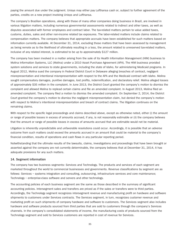paying the amount due under the judgment. Unisys may either pay Lufthansa cash or, subject to further agreement of the parties, credits on a new project involving Unisys and Lufthansa.

The company's Brazilian operations, along with those of many other companies doing business in Brazil, are involved in various litigation matters, including numerous governmental assessments related to indirect and other taxes, as well as disputes associated with former employees and contract labor. The tax-related matters pertain to value added taxes, customs, duties, sales and other non-income related tax exposures. The labor-related matters include claims related to compensation matters. The company believes that appropriate accruals have been established for such matters based on information currently available. At December 31, 2014, excluding those matters that have been assessed by management as being remote as to the likelihood of ultimately resulting in a loss, the amount related to unreserved tax-related matters, inclusive of any related interest, is estimated to be up to approximately \$127 million.

The company has been involved in a matter arising from the sale of its Health Information Management (HIM) business to Molina Information Systems, LLC (Molina) under a 2010 Asset Purchase Agreement (APA). The HIM business provided system solutions and services to state governments, including the state of Idaho, for administering Medicaid programs. In August 2012, Molina sued the company in Federal District Court in Delaware alleging breaches of contract, negligent misrepresentation and intentional misrepresentation with respect to the APA and the Medicaid contract with Idaho. Molina sought compensatory damages, punitive damages, lost profits, indemnification, and declaratory relief. Molina alleged losses of approximately \$35 million in the complaint. In June 2013, the District Court granted the company's motion to dismiss the complaint and allowed Molina to replead certain claims and file an amended complaint. In August 2013, Molina filed an amended complaint. The company filed a motion to dismiss the amended complaint. On September 2, 2014, the District Court granted the company's motion to dismiss the negligent misrepresentation claim, but denied the company's motion with respect to Molina's intentional misrepresentation and breach of contract claims. The litigation continues on the remaining claims.

With respect to the specific legal proceedings and claims described above, except as otherwise noted, either (i) the amount or range of possible losses in excess of amounts accrued, if any, is not reasonably estimable or (ii) the company believes that the amount or range of possible losses in excess of amounts accrued that are estimable would not be material.

Litigation is inherently unpredictable and unfavorable resolutions could occur. Accordingly, it is possible that an adverse outcome from such matters could exceed the amounts accrued in an amount that could be material to the company's financial condition, results of operations and cash flows in any particular reporting period.

Notwithstanding that the ultimate results of the lawsuits, claims, investigations and proceedings that have been brought or asserted against the company are not currently determinable, the company believes that at December 31, 2014, it has adequate provisions for any such matters.

#### **14. Segment information**

The company has two business segments: Services and Technology. The products and services of each segment are marketed throughout the world to commercial businesses and governments. Revenue classifications by segment are as follows: Services – systems integration and consulting, outsourcing, infrastructure services and core maintenance; Technology – enterprise-class software and servers and other technology.

The accounting policies of each business segment are the same as those described in the summary of significant accounting policies. Intersegment sales and transfers are priced as if the sales or transfers were to third parties. Accordingly, the Technology segment recognizes intersegment revenue and manufacturing profit on hardware and software shipments to customers under Services contracts. The Services segment, in turn, recognizes customer revenue and marketing profit on such shipments of company hardware and software to customers. The Services segment also includes hardware and software products sourced from third parties that are sold to customers through the company's Services channels. In the company's consolidated statements of income, the manufacturing costs of products sourced from the Technology segment and sold to Services customers are reported in cost of revenue for Services.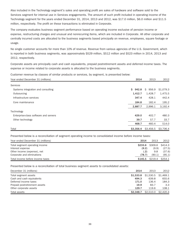Also included in the Technology segment's sales and operating profit are sales of hardware and software sold to the Services segment for internal use in Services engagements. The amount of such profit included in operating income of the Technology segment for the years ended December 31, 2014, 2013 and 2012, was \$17.0 million, \$6.0 million and \$11.5 million, respectively. The profit on these transactions is eliminated in Corporate.

The company evaluates business segment performance based on operating income exclusive of pension income or expense, restructuring charges and unusual and nonrecurring items, which are included in Corporate. All other corporate and centrally incurred costs are allocated to the business segments based principally on revenue, employees, square footage or usage.

No single customer accounts for more than 10% of revenue. Revenue from various agencies of the U.S. Government, which is reported in both business segments, was approximately \$529 million, \$512 million and \$523 million in 2014, 2013 and 2012, respectively.

Corporate assets are principally cash and cash equivalents, prepaid postretirement assets and deferred income taxes. The expense or income related to corporate assets is allocated to the business segments.

Customer revenue by classes of similar products or services, by segment, is presented below:

| Year ended December 31 (millions)     | 2014      | 2013      | 2012      |
|---------------------------------------|-----------|-----------|-----------|
| Services                              |           |           |           |
| Systems integration and consulting    | \$942.8   | \$956.9   | \$1,079.3 |
| Outsourcing                           | 1,412.7   | 1,428.7   | 1,475.5   |
| Infrastructure services               | 347.4     | 428.1     | 442.4     |
| Core maintenance                      | 184.8     | 182.4     | 195.2     |
|                                       | 2,887.7   | 2,996.1   | 3,192.4   |
| Technology                            |           |           |           |
| Enterprise-class software and servers | 429.0     | 402.7     | 480.3     |
| Other technology                      | 39.7      | 57.7      | 33.7      |
|                                       | 468.7     | 460.4     | 514.0     |
| Total                                 | \$3,356.4 | \$3,456.5 | \$3,706.4 |

Presented below is a reconciliation of segment operating income to consolidated income before income taxes:

| Year ended December 31 (millions) | 2014    | 2013            | 2012   |
|-----------------------------------|---------|-----------------|--------|
| Total segment operating income    | \$233.6 | \$309.6 \$414.3 |        |
| Interest expense                  | (9.2)   | (9.9)           | (27.5) |
| Other income (expense), net       | (.2)    | 9.8             | (37.6) |
| Corporate and eliminations        | (78.7)  | (90.1)          | (95.1) |
| Total income before income taxes  | \$145.5 | S219.4          | S254.1 |

Presented below is a reconciliation of total business segment assets to consolidated assets:

| December 31 (millions)        | 2014      | 2013                | 2012  |
|-------------------------------|-----------|---------------------|-------|
| Total segment assets          | \$1,533.8 | \$1,530.5 \$1,469.1 |       |
| Cash and cash equivalents     | 494.3     | 639.8               | 655.6 |
| Deferred income taxes         | 171.0     | 136.4               | 184.3 |
| Prepaid postretirement assets | 19.9      | 83.7                | 3.3   |
| Other corporate assets        | 129.7     | 119.6               | 108.1 |
| Total assets                  | \$2,348.7 | \$2,510.0 \$2,420.4 |       |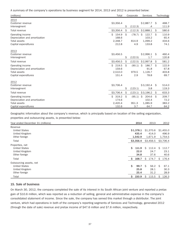A summary of the company's operations by business segment for 2014, 2013 and 2012 is presented below:

| (millions)                                                                                       | Total                                    |    | Corporate              | Services                                |     | Technology                     |
|--------------------------------------------------------------------------------------------------|------------------------------------------|----|------------------------|-----------------------------------------|-----|--------------------------------|
| 2014<br>Customer revenue<br>Intersegment                                                         | \$3,356.4                                | \$ | (112.3)                | \$2,887.7<br>.4                         | Ŝ   | 468.7<br>111.9                 |
| Total revenue                                                                                    | \$3,356.4                                | \$ | (112.3)                | \$2,888.1                               | \$. | 580.6                          |
| Operating income<br>Depreciation and amortization<br><b>Total assets</b><br>Capital expenditures | 154.9<br>Ś.<br>168.6<br>2,348.7<br>212.8 | \$ | (78.7)<br>814.9<br>4.9 | 122.7<br>Ŝ<br>103.2<br>1,099.2<br>133.8 | Ŝ   | 110.9<br>65.4<br>434.6<br>74.1 |
| 2013<br>Customer revenue<br>Intersegment                                                         | \$3,456.5                                | \$ | (122.5)                | \$2,996.1<br>1.7                        | \$  | 460.4<br>120.8                 |
| Total revenue                                                                                    | \$3,456.5                                | \$ | (122.5)                | \$2,997.8                               | \$  | 581.2                          |
| Operating income<br>Depreciation and amortization<br><b>Total assets</b><br>Capital expenditures | Ś.<br>219.5<br>159.6<br>2,510.0<br>151.4 | Ŝ  | (90.1)<br>979.5<br>2.9 | Ŝ.<br>186.7<br>91.8<br>1,126.7<br>78.8  | Ŝ   | 122.9<br>67.8<br>403.8<br>69.7 |
| 2012<br>Customer revenue<br>Intersegment                                                         | \$3,706.4                                | \$ | (123.1)                | \$3,192.4<br>3.8                        | Ŝ.  | 514.0<br>119.3                 |
| Total revenue                                                                                    | \$3,706.4                                | \$ | (123.1)                | \$3,196.2                               | \$  | 633.3                          |
| Operating income<br>Depreciation and amortization<br><b>Total assets</b><br>Capital expenditures | 319.2<br>Ś.<br>174.6<br>2,420.4<br>132.6 | \$ | (95.1)<br>951.3<br>3.7 | 204.6<br>\$<br>102.4<br>1,085.9<br>64.7 | S   | 209.7<br>72.2<br>383.2<br>64.2 |

Geographic information about the company's revenue, which is principally based on location of the selling organization, properties and outsourcing assets, is presented below:

| Year ended December 31 (millions)                                                    | 2014                                      | 2013                                                | 2012                                     |
|--------------------------------------------------------------------------------------|-------------------------------------------|-----------------------------------------------------|------------------------------------------|
| Revenue<br>United States<br>United Kingdom<br>Other foreign                          | \$1,378.1<br>435.4<br>1,542.9             | \$1,370.6<br>414.0<br>1,671.9                       | \$1,455.0<br>496.9<br>1,754.5            |
| Total                                                                                | \$3,356.4                                 | \$3,456.5                                           | \$3,706.4                                |
| Properties, net<br>United States<br>United Kingdom<br>Other foreign<br>Total         | Ŝ.<br>111.9<br>22.0<br>34.8<br>168.7<br>Ŝ | Ŝ<br>112.4<br>24.7<br>37.6<br>Ś<br>174.7            | 112.7<br>Ŝ<br>23.1<br>40.6<br>176.4<br>S |
| Outsourcing assets, net<br>United States<br>United Kingdom<br>Other foreign<br>Total | Ŝ<br>99.7<br>25.8<br>25.4<br>150.9<br>S.  | Ŝ.<br>$56.2 \quad $$<br>28.1<br>31.2<br>115.5<br>Ŝ. | 67.1<br>30.3<br>28.9<br>126.3<br>S       |

#### **15. Sale of business**

On March 30, 2012, the company completed the sale of its interest in its South African joint venture and reported a pretax gain of \$10.6 million, which was reported as a reduction of selling, general and administrative expense in the company's consolidated statement of income. Since the sale, the company has served this market through a distributor. The joint venture, which had operations in both of the company's reporting segments of Services and Technology, generated 2012 (through the date of sale) revenue and pretax income of \$47.6 million and \$7.6 million, respectively.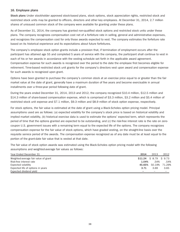#### **16. Employee plans**

**Stock plans** Under stockholder approved stock-based plans, stock options, stock appreciation rights, restricted stock and restricted stock units may be granted to officers, directors and other key employees. At December 31, 2014, 2.7 million shares of unissued common stock of the company were available for granting under these plans.

As of December 31, 2014, the company has granted non-qualified stock options and restricted stock units under these plans. The company recognizes compensation cost net of a forfeiture rate in selling, general and administrative expenses, and recognizes the compensation cost for only those awards expected to vest. The company estimates the forfeiture rate based on its historical experience and its expectations about future forfeitures.

The company's employee stock option grants include a provision that, if termination of employment occurs after the participant has attained age 55 and completed 5 years of service with the company, the participant shall continue to vest in each of his or her awards in accordance with the vesting schedule set forth in the applicable award agreement. Compensation expense for such awards is recognized over the period to the date the employee first becomes eligible for retirement. Time-based restricted stock unit grants for the company's directors vest upon award and compensation expense for such awards is recognized upon grant.

Options have been granted to purchase the company's common stock at an exercise price equal to or greater than the fair market value at the date of grant, generally have a maximum duration of five years and become exercisable in annual installments over a three-year period following date of grant.

During the years ended December 31, 2014, 2013 and 2012, the company recognized \$10.4 million, \$12.5 million and \$14.3 million of share-based compensation expense, which is comprised of \$3.3 million, \$3.2 million and \$5.4 million of restricted stock unit expense and \$7.1 million, \$9.3 million and \$8.9 million of stock option expense, respectively.

For stock options, the fair value is estimated at the date of grant using a Black-Scholes option pricing model. Principal assumptions used are as follows: (a) expected volatility for the company's stock price is based on historical volatility and implied market volatility, (b) historical exercise data is used to estimate the options' expected term, which represents the period of time that the options granted are expected to be outstanding, and (c) the risk-free interest rate is the rate on zerocoupon U.S. government issues with a remaining term equal to the expected life of the options. The company recognizes compensation expense for the fair value of stock options, which have graded vesting, on the straight-line basis over the requisite service period of the awards. The compensation expense recognized as of any date must be at least equal to the portion of the grant-date fair value that is vested at that date.

The fair value of stock option awards was estimated using the Black-Scholes option pricing model with the following assumptions and weighted-average fair values as follows:

| Year Ended December 31               | 2014                     | 2013                 | 2012 |
|--------------------------------------|--------------------------|----------------------|------|
| Weighted-average fair value of grant | $$11.24$ \$ 8.79 \$ 9.73 |                      |      |
| Risk-free interest rate              | 1.04%                    | .54%                 | .54% |
| Expected volatility                  |                          | 45.65% 50.19% 71.29% |      |
| Expected life of options in years    | 3.71                     | 3.69                 | 3.65 |
| Expected dividend yield              |                          |                      |      |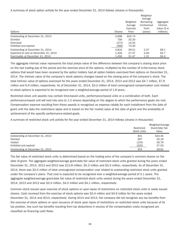A summary of stock option activity for the year ended December 31, 2014 follows (shares in thousands):

|                                       |               |           | Weighted-   |                  |
|---------------------------------------|---------------|-----------|-------------|------------------|
|                                       |               |           | Average     |                  |
|                                       |               | Weighted- | Remaining   | Aggregate        |
|                                       |               | Average   | Contractual | <b>Intrinsic</b> |
|                                       |               | Exercise  | Term        | Value (\$ in     |
| Options                               | <b>Shares</b> | Price     | (years)     | millions)        |
| Outstanding at December 31, 2013      | 2,698         | \$32.74   |             |                  |
| Granted                               | 756           | 32.20     |             |                  |
| Exercised                             | (272)         | 14.25     |             |                  |
| Forfeited and expired                 | (366)         | 70.30     |             |                  |
| Outstanding at December 31, 2014      | 2,816         | 29.51     | 2.37        | \$9.1            |
| Expected to vest at December 31, 2014 | 1,335         | 27.37     | 3.49        | \$4.7            |
| Exercisable at December 31, 2014      | 1,456         | 31.47     | 1.31        | \$4.4            |

The aggregate intrinsic value represents the total pretax value of the difference between the company's closing stock price on the last trading day of the period and the exercise price of the options, multiplied by the number of in-the-money stock options that would have been received by the option holders had all option holders exercised their options on December 31, 2014. The intrinsic value of the company's stock options changes based on the closing price of the company's stock. The total intrinsic value of options exercised for the years ended December 31, 2014, 2013 and 2012 was \$4.7 million, \$7.9 million and \$.9 million, respectively. As of December 31, 2014, \$3.2 million of total unrecognized compensation cost related to stock options is expected to be recognized over a weighted-average period of 1.8 years.

Restricted stock unit awards may contain time-based units, performance-based units or a combination of both. Each performance-based unit will vest into zero to 1.5 shares depending on the degree to which the performance goals are met. Compensation expense resulting from these awards is recognized as expense ratably for each installment from the date of grant until the date the restrictions lapse and is based on the fair market value at the date of grant and the probability of achievement of the specific performance-related goals.

A summary of restricted stock unit activity for the year ended December 31, 2014 follows (shares in thousands):

|                                  | Restricted<br><b>Stock Units</b> | Weighted-Average<br>Grant-Date Fair<br>Value |
|----------------------------------|----------------------------------|----------------------------------------------|
| Outstanding at December 31, 2013 | 401                              | \$23.45                                      |
| Granted                          | 397                              | 32.16                                        |
| Vested                           | (124)                            | 26.76                                        |
| Forfeited and expired            | (320)                            | 27.03                                        |
| Outstanding at December 31, 2014 | 354                              | 28.81                                        |

The fair value of restricted stock units is determined based on the trading price of the company's common shares on the date of grant. The aggregate weighted-average grant-date fair value of restricted stock units granted during the years ended December 31, 2014, 2013 and 2012 was \$12.8 million, \$5.3 million and \$3.3 million, respectively. As of December 31, 2014, there was \$2.0 million of total unrecognized compensation cost related to outstanding restricted stock units granted under the company's plans. That cost is expected to be recognized over a weighted-average period of 2.1 years. The aggregate weighted-average grant-date fair value of restricted stock units vested during the years ended December 31, 2014, 2013 and 2012 was \$3.3 million, \$4.5 million and \$4.1 million, respectively.

Common stock issued upon exercise of stock options or upon lapse of restrictions on restricted stock units is newly issued shares. Cash received from the exercise of stock options was \$3.4 million and \$4.9 million for the years ended December 31, 2014 and 2013, respectively. During 2014 and 2013, the company did not recognize any tax benefits from the exercise of stock options or upon issuance of stock upon lapse of restrictions on restricted stock units because of its tax position. Any such tax benefits resulting from tax deductions in excess of the compensation costs recognized are classified as financing cash flows.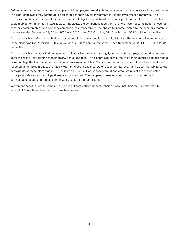**Defined contribution and compensation plans** U.S. employees are eligible to participate in an employee savings plan. Under this plan, employees may contribute a percentage of their pay for investment in various investment alternatives. The company matches 50 percent of the first 6 percent of eligible pay contributed by participants to the plan on a before-tax basis (subject to IRS limits). In 2014, 2013 and 2012, the company funded the match with cash, a combination of cash and company common stock and company common stock, respectively. The charge to income related to the company match for the years ended December 31, 2014, 2013 and 2012, was \$10.6 million, \$11.8 million and \$12.1 million, respectively.

The company has defined contribution plans in certain locations outside the United States. The charge to income related to these plans was \$25.2 million, \$26.7 million and \$30.0 million, for the years ended December 31, 2014, 2013 and 2012, respectively.

The company has non-qualified compensation plans, which allow certain highly compensated employees and directors to defer the receipt of a portion of their salary, bonus and fees. Participants can earn a return on their deferred balance that is based on hypothetical investments in various investment vehicles. Changes in the market value of these investments are reflected as an adjustment to the liability with an offset to expense. As of December 31, 2014 and 2013, the liability to the participants of these plans was \$12.1 million and \$13.2 million, respectively. These amounts reflect the accumulated participant deferrals and earnings thereon as of that date. The company makes no contributions to the deferred compensation plans and remains contingently liable to the participants.

**Retirement benefits** For the company's more significant defined benefit pension plans, including the U.S. and the UK, accrual of future benefits under the plans has ceased.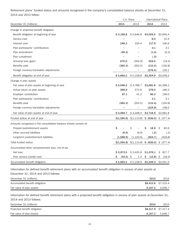Retirement plans' funded status and amounts recognized in the company's consolidated balance sheets at December 31, 2014 and 2013 follow:

|                                                                   | U.S. Plans       |                                               |              |             | <b>International Plans</b> |  |  |
|-------------------------------------------------------------------|------------------|-----------------------------------------------|--------------|-------------|----------------------------|--|--|
| December 31 (millions)                                            | 2014             | 2013                                          | 2014         | 2013        |                            |  |  |
| Change in projected benefit obligation                            |                  |                                               |              |             |                            |  |  |
| Benefit obligation at beginning of year                           | \$5,158.8        | \$5,646.8                                     | \$3,059.2    | \$2,945.4   |                            |  |  |
| Service cost                                                      |                  |                                               | 8.4          | 10.4        |                            |  |  |
| Interest cost                                                     | 248.3            | 220.4                                         | 117.9        | 106.6       |                            |  |  |
| Plan participants' contributions                                  |                  |                                               | 3.1          | 3.1         |                            |  |  |
| Plan amendment                                                    | (46.3)           |                                               | (1.0)        | (6.3)       |                            |  |  |
| Plan curtailment                                                  |                  |                                               | (.3)         |             |                            |  |  |
| Actuarial loss (gain)                                             | 670.0            | (355.9)                                       | 559.4        | (19.3)      |                            |  |  |
| Benefits paid                                                     | (365.3)          | (352.5)                                       | (115.4)      | (100.8)     |                            |  |  |
| Foreign currency translation adjustments                          |                  |                                               | (276.4)      | 120.1       |                            |  |  |
| Benefit obligation at end of year                                 | \$5,665.5        | \$5,158.8                                     | \$3,354.9    | \$3,059.2   |                            |  |  |
| Change in plan assets                                             |                  |                                               |              |             |                            |  |  |
| Fair value of plan assets at beginning of year                    | \$4,048.0        | \$3,786.7                                     | \$2,681.8    | \$2,399.2   |                            |  |  |
| Actual return on plan assets                                      | 299.9            | 572.6                                         | 278.0        | 166.3       |                            |  |  |
| Employer contribution                                             | 87.1             | 41.2                                          | 96.3         | 106.0       |                            |  |  |
| Plan participants' contributions                                  |                  |                                               | 3.1          | 3.1         |                            |  |  |
| Benefits paid                                                     | (365.3)          | (352.5)                                       | (115.4)      | (100.8)     |                            |  |  |
| Foreign currency translation adjustments                          |                  |                                               | (224.9)      | 108.0       |                            |  |  |
| Fair value of plan assets at end of year                          | \$4,069.7        | \$4,048.0                                     | \$2,718.9    | \$2,681.8   |                            |  |  |
| Funded status at end of year                                      |                  | $\$(1,595.8) \$(1,110.8) \$(636.0) \$(377.4)$ |              |             |                            |  |  |
| Amounts recognized in the consolidated balance sheets consist of: |                  |                                               |              |             |                            |  |  |
| Prepaid postretirement assets                                     | \$               | \$                                            | \$.<br>18.9  | Ŝ<br>82.6   |                            |  |  |
| Other accrued liabilities                                         | (6.9)            | (6.9)                                         | (.2)         | (.2)        |                            |  |  |
| Long-term postretirement liabilities                              | (1,588.9)        | (1,103.9)                                     | (654.7)      | (459.8)     |                            |  |  |
| Total funded status                                               |                  | $\$(1,595.8) \$(1,110.8) \$(636.0) \$(377.4)$ |              |             |                            |  |  |
| Accumulated other comprehensive loss, net of tax                  |                  |                                               |              |             |                            |  |  |
| Net loss                                                          | \$2,973.5        | \$2,425.9                                     | \$1,076.1    | 817.7<br>S. |                            |  |  |
| Prior service (credit) cost                                       | S<br>$(44.5)$ \$ | 1.4                                           | \$ (12.8) \$ | (16.0)      |                            |  |  |
| Accumulated benefit obligation                                    |                  | $$5,665.5$ $$5,158.8$                         | \$3,349.3    | \$3,051.5   |                            |  |  |

Information for defined benefit retirement plans with an accumulated benefit obligation in excess of plan assets at December 31, 2014 and 2013 follows:

| December 31 (millions)         | 2014    | 2013                |
|--------------------------------|---------|---------------------|
| Accumulated benefit obligation |         | \$8,412.6 \$7,210.4 |
| Fair value of plan assets      | 6.167.2 | 5.646.7             |

Information for defined benefit retirement plans with a projected benefit obligation in excess of plan assets at December 31, 2014 and 2013 follows:

| December 31 (millions)       | 2014    | 2013                |
|------------------------------|---------|---------------------|
| Projected benefit obligation |         | \$8,417.9 \$7,217.4 |
| Fair value of plan assets    | 6.167.2 | 5.646.7             |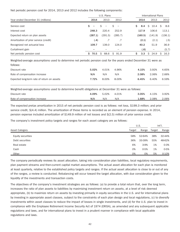Net periodic pension cost for 2014, 2013 and 2012 includes the following components:

|                                        |                          | U.S. Plans |                               |           | <b>International Plans</b> |           |  |
|----------------------------------------|--------------------------|------------|-------------------------------|-----------|----------------------------|-----------|--|
| Year ended December 31 (millions)      | 2014                     | 2013       | 2012                          | 2014      | 2013                       | 2012      |  |
| Service cost                           | $\overline{\phantom{0}}$ |            | S<br>$\overline{\phantom{a}}$ | 8.4<br>S. | Ŝ.<br>10.4                 | S.<br>8.6 |  |
| Interest cost                          | 248.3                    | 220.4      | 252.9                         | 117.9     | 106.6                      | 113.1     |  |
| Expected return on plan assets         | (287.1)                  | (291.5)    | (285.7)                       | (160.5)   | (141.9)                    | (136.1)   |  |
| Amortization of prior service (credit) | (.4)                     | .7         | .7                            | (2.1)     | (2.1)                      | (.5)      |  |
| Recognized net actuarial loss          | 109.7                    | 139.0      | 124.0                         | 40.2      | 51.9                       | 36.9      |  |
| Curtailment gain                       |                          |            |                               | (6)       |                            | (5.7)     |  |
| Net periodic pension cost              | 70.5<br>S.               | Ŝ.         | 68.6 \$ 91.9                  | 3.3<br>s  | S.<br>24.9                 | 16.3<br>S |  |

Weighted-average assumptions used to determine net periodic pension cost for the years ended December 31 were as follows:

| Discount rate                               | 5.02% | 4.01% | 4.96% | 4.15% | 3.92% | 4.65% |
|---------------------------------------------|-------|-------|-------|-------|-------|-------|
| Rate of compensation increase               | N/A   | N/A   | N/A   | 2.08% | 2.06% | 2.66% |
| Expected long-term rate of return on assets | 7.72% | 8.00% | 8.00% | 6.45% | 6.40% | 6.59% |
|                                             |       |       |       |       |       |       |

| Weighted-average assumptions used to determine benefit obligations at December 31 were as follows: |       |       |       |       |       |       |
|----------------------------------------------------------------------------------------------------|-------|-------|-------|-------|-------|-------|
| Discount rate                                                                                      | 4.09% | 5.02% | 4.01% | 3.05% | 4.15% | 3.92% |
| Rate of compensation increase                                                                      | N/A   | N/A   | N/A   | 1.68% | 2.08% | 2.06% |

The expected pretax amortization in 2015 of net periodic pension cost is as follows: net loss, \$199.3 million; and prior service credit, \$(4.4) million. The amortization of these items is recorded as an element of pension expense. In 2014, pension expense included amortization of \$149.9 million of net losses and \$(2.5) million of prior service credit.

The company's investment policy targets and ranges for each asset category are as follows:

|                   |        | U.S.     |        | Int'l.    |  |
|-------------------|--------|----------|--------|-----------|--|
| Asset Category    | Target | Range    | Target | Range     |  |
| Equity securities | 58%    | 52-64%   | 38%    | 32-44%    |  |
| Debt securities   | 36%    | 33-39%   | 55%    | 48-62%    |  |
| Real estate       | 6%     | $3-9%$   | 1%     | $0 - 3%$  |  |
| Cash              | 0%     | $0 - 5%$ | 1%     | $0 - 5%$  |  |
| Other             | 0%     | 0%       | 5%     | $0 - 10%$ |  |

The company periodically reviews its asset allocation, taking into consideration plan liabilities, local regulatory requirements, plan payment streams and then-current capital market assumptions. The actual asset allocation for each plan is monitored at least quarterly, relative to the established policy targets and ranges. If the actual asset allocation is close to or out of any of the ranges, a review is conducted. Rebalancing will occur toward the target allocation, with due consideration given to the liquidity of the investments and transaction costs.

The objectives of the company's investment strategies are as follows: (a) to provide a total return that, over the long term, increases the ratio of plan assets to liabilities by maximizing investment return on assets, at a level of risk deemed appropriate, (b) to maximize return on assets by investing primarily in equity securities in the U.S. and for international plans by investing in appropriate asset classes, subject to the constraints of each plan design and local regulations, (c) to diversify investments within asset classes to reduce the impact of losses in single investments, and (d) for the U.S. plan to invest in compliance with the Employee Retirement Income Security Act of 1974 (ERISA), as amended and any subsequent applicable regulations and laws, and for international plans to invest in a prudent manner in compliance with local applicable regulations and laws.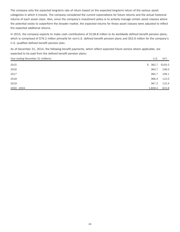The company sets the expected long-term rate of return based on the expected long-term return of the various asset categories in which it invests. The company considered the current expectations for future returns and the actual historical returns of each asset class. Also, since the company's investment policy is to actively manage certain asset classes where the potential exists to outperform the broader market, the expected returns for those asset classes were adjusted to reflect the expected additional returns.

In 2015, the company expects to make cash contributions of \$128.8 million to its worldwide defined benefit pension plans, which is comprised of \$76.2 million primarily for non-U.S. defined benefit pension plans and \$52.6 million for the company's U.S. qualified defined benefit pension plan.

As of December 31, 2014, the following benefit payments, which reflect expected future service where applicable, are expected to be paid from the defined benefit pension plans:

| Year ending December 31 (millions) | U.S.    | Int'l.            |
|------------------------------------|---------|-------------------|
| 2015                               |         | $$362.7$ $$103.2$ |
| 2016                               | 363.7   | 106.0             |
| 2017                               | 365.7   | 109.1             |
| 2018                               | 366.4   | 112.0             |
| 2019                               | 367.2   | 115.4             |
| 2020 - 2024                        | 1,839.4 | 615.9             |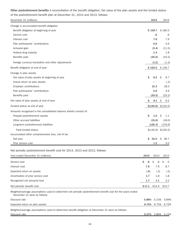**Other postretirement benefits** A reconciliation of the benefit obligation, fair value of the plan assets and the funded status of the postretirement benefit plan at December 31, 2014 and 2013, follows:

| December 31 (millions)                                                                                                                      |              | 2014      | 2013                |
|---------------------------------------------------------------------------------------------------------------------------------------------|--------------|-----------|---------------------|
| Change in accumulated benefit obligation                                                                                                    |              |           |                     |
| Benefit obligation at beginning of year                                                                                                     |              | \$159.7   | \$180.5             |
| Service cost                                                                                                                                |              | .6        | .6                  |
| Interest cost                                                                                                                               |              | 7.6       | 7.9                 |
| Plan participants' contributions                                                                                                            |              | 4.6       | 4.9                 |
| Actuarial gain                                                                                                                              |              | (2.4)     | (11.5)              |
| Federal drug subsidy                                                                                                                        |              | 1.4       | 1.8                 |
| Benefits paid                                                                                                                               |              | (20.0)    | (23.2)              |
| Foreign currency translation and other adjustments                                                                                          |              | (1.5)     | (1.3)               |
| Benefit obligation at end of year                                                                                                           |              | \$150.0   | \$159.7             |
| Change in plan assets                                                                                                                       |              |           |                     |
| Fair value of plan assets at beginning of year                                                                                              | \$           | 9.2       | - \$<br>9.7         |
| Actual return on plan assets                                                                                                                |              |           | (.2)                |
| <b>Employer contributions</b>                                                                                                               |              | 15.3      | 18.0                |
| Plan participants' contributions                                                                                                            |              | 4.6       | 4.9                 |
| Benefits paid                                                                                                                               |              | (20.0)    | (23.2)              |
| Fair value of plan assets at end of year                                                                                                    | \$           | 9.1       | \$<br>9.2           |
| Funded status at end of year                                                                                                                |              |           | \$(140.9) \$(150.5) |
| Amounts recognized in the consolidated balance sheets consist of:                                                                           |              |           |                     |
| Prepaid postretirement assets                                                                                                               | \$           | $1.0\,$   | \$<br>1.1           |
| Other accrued liabilities                                                                                                                   |              | (15.6)    | (18.0)              |
| Long-term postretirement liabilities                                                                                                        |              | (126.3)   | (133.6)             |
| Total funded status                                                                                                                         |              | \$(140.9) | $\$(150.5)$         |
| Accumulated other comprehensive loss, net of tax                                                                                            |              |           |                     |
| Net loss                                                                                                                                    | S            | 32.0      | Ŝ.<br>36.7          |
| Prior service cost                                                                                                                          |              | 1.2       | 3.0                 |
| Net periodic postretirement benefit cost for 2014, 2013 and 2012, follows:                                                                  |              |           |                     |
| Year ended December 31 (millions)                                                                                                           | 2014         | 2013      | 2012                |
| Service cost                                                                                                                                | \$<br>$.6\,$ | \$<br>.6  | \$<br>.5            |
| Interest cost                                                                                                                               | 7.6          | 7.9       | 8.7                 |
| Expected return on assets                                                                                                                   | (.5)         | (.5)      | (.5)                |
| Amortization of prior service cost                                                                                                          | 1.7          | 1.8       | 1.8                 |
| Recognized net actuarial loss                                                                                                               | 1.7          | 4.5       | 3.2                 |
| Net periodic benefit cost                                                                                                                   | \$11.1       | \$14.3    | \$13.7              |
| Weighted-average assumptions used to determine net periodic postretirement benefit cost for the years ended<br>December 31 were as follows: |              |           |                     |
| Discount rate                                                                                                                               | 5.86%        | 5.15%     | 5.84%               |
| Expected return on plan assets                                                                                                              | 6.75%        | 6.75%     | 6.75%               |
| Weighted-average assumptions used to determine benefit obligation at December 31 were as follows:                                           |              |           |                     |
| Discount rate                                                                                                                               |              |           | 5.27% 5.86% 5.15%   |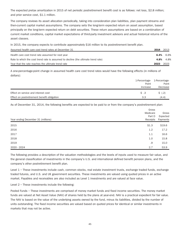The expected pretax amortization in 2015 of net periodic postretirement benefit cost is as follows: net loss, \$2.8 million; and prior service cost, \$1.1 million.

The company reviews its asset allocation periodically, taking into consideration plan liabilities, plan payment streams and then-current capital market assumptions. The company sets the long-term expected return on asset assumption, based principally on the long-term expected return on debt securities. These return assumptions are based on a combination of current market conditions, capital market expectations of third-party investment advisors and actual historical returns of the asset classes.

In 2015, the company expects to contribute approximately \$16 million to its postretirement benefit plan.

| Assumed health care cost trend rates at December 31                               | 2014      | 2013      |
|-----------------------------------------------------------------------------------|-----------|-----------|
| Health care cost trend rate assumed for next year                                 |           | 6.4% 6.6% |
| Rate to which the cost trend rate is assumed to decline (the ultimate trend rate) |           | 4.8% 4.8% |
| Year that the rate reaches the ultimate trend rate                                | 2023 2023 |           |

A one-percentage-point change in assumed health care cost trend rates would have the following effects (in millions of dollars):

|                                             | 1-Percentage- | 1-Percentage- |
|---------------------------------------------|---------------|---------------|
|                                             | Point         | Point         |
|                                             | Increase      | Decrease      |
| Effect on service and interest cost         | $S$ .3        | S(0.2)        |
| Effect on postretirement benefit obligation | 3.3           | (4.4)         |

As of December 31, 2014, the following benefits are expected to be paid to or from the company's postretirement plan:

|                                    | Gross<br>Medicare  | Gross                |
|------------------------------------|--------------------|----------------------|
| Year ending December 31 (millions) | Part D<br>Receipts | Expected<br>Payments |
| 2015                               | \$1.3              | \$19.6               |
| 2016                               | 1.2                | 17.2                 |
| 2017                               | 1.1                | 16.6                 |
| 2018                               | 1.0                | 15.8                 |
| 2019                               | .9                 | 15.0                 |
| 2020 - 2024                        | 2.7                | 53.9                 |

The following provides a description of the valuation methodologies and the levels of inputs used to measure fair value, and the general classification of investments in the company's U.S. and international defined benefit pension plans, and the company's other postretirement benefit plan.

Level 1 – These investments include cash, common stocks, real estate investment trusts, exchange traded funds, exchange traded futures, and U.S. and UK government securities. These investments are valued using quoted prices in an active market. Payables and receivables are also included as Level 1 investments and are valued at face value.

Level  $2$  – These investments include the following:

Pooled Funds – These investments are comprised of money market funds and fixed income securities. The money market funds are valued at Net Asset Value (NAV) of shares held by the plans at year-end. NAV is a practical expedient for fair value. The NAV is based on the value of the underlying assets owned by the fund, minus its liabilities, divided by the number of units outstanding. The fixed income securities are valued based on quoted prices for identical or similar investments in markets that may not be active.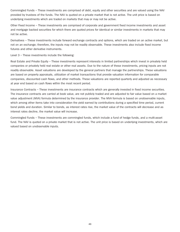Commingled Funds – These investments are comprised of debt, equity and other securities and are valued using the NAV provided by trustees of the funds. The NAV is quoted on a private market that is not active. The unit price is based on underlying investments which are traded on markets that may or may not be active.

Other Fixed Income – These investments are comprised of corporate and government fixed income investments and asset and mortgage backed securities for which there are quoted prices for identical or similar investments in markets that may not be active.

Derivatives – These investments include forward exchange contracts and options, which are traded on an active market, but not on an exchange; therefore, the inputs may not be readily observable. These investments also include fixed income futures and other derivative instruments.

Level 3 – These investments include the following:

Real Estate and Private Equity – These investments represent interests in limited partnerships which invest in privately held companies or privately held real estate or other real assets. Due to the nature of these investments, pricing inputs are not readily observable. Asset valuations are developed by the general partners that manage the partnerships. These valuations are based on property appraisals, utilization of market transactions that provide valuation information for comparable companies, discounted cash flows, and other methods. These valuations are reported quarterly and adjusted as necessary at year end based on cash flows within the most recent period.

Insurance Contracts – These investments are insurance contracts which are generally invested in fixed income securities. The insurance contracts are carried at book value, are not publicly traded and are adjusted to fair value based on a market value adjustment (MVA) formula determined by the insurance provider. The MVA formula is based on unobservable inputs, which among other items take into consideration the yield earned by contributions during a specified time period, current bond yields and duration. Similar to bonds, as interest rates rise, the market value of the contracts will decrease and as interest rates decline, the market value will increase.

Commingled Funds – These investments are commingled funds, which include a fund of hedge funds, and a multi-asset fund. The NAV is quoted on a private market that is not active. The unit price is based on underlying investments, which are valued based on unobservable inputs.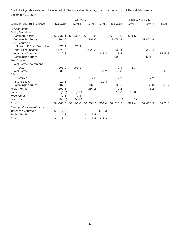|                              |                     | U.S. Plans |            |         |            | <b>International Plans</b> |                    |         |
|------------------------------|---------------------|------------|------------|---------|------------|----------------------------|--------------------|---------|
| December 31, 2014 (millions) | <b>Fair Value</b>   | Level 1    | Level 2    | Level 3 | Fair Value | Level 1                    | Level <sub>2</sub> | Level 3 |
| Pension plans                |                     |            |            |         |            |                            |                    |         |
| <b>Equity Securities</b>     |                     |            |            |         |            |                            |                    |         |
| <b>Common Stocks</b>         | \$1,837.4           | \$1,831.6  | 5.8<br>- S |         | Ŝ.<br>1.6  | \$1.6                      |                    |         |
| <b>Commingled Funds</b>      | 461.6               |            | 461.6      |         | 1,054.8    |                            | \$1,054.8          |         |
| <b>Debt Securities</b>       |                     |            |            |         |            |                            |                    |         |
| U.S. and UK Govt. Securities | 176.9               | 176.9      |            |         |            |                            |                    |         |
| Other Fixed Income           | 1,025.3             |            | 1,025.3    |         | 330.4      |                            | 330.4              |         |
| <b>Insurance Contracts</b>   | 17.4                |            |            | \$17.4  | 135.5      |                            |                    | \$135.5 |
| Commingled Funds             |                     |            |            |         | 991.1      |                            | 991.1              |         |
| <b>Real Estate</b>           |                     |            |            |         |            |                            |                    |         |
| Real Estate Investment       |                     |            |            |         |            |                            |                    |         |
| <b>Trusts</b>                | 169.1               | 169.1      |            |         | 1.3        | 1.3                        |                    |         |
| <b>Real Estate</b>           | 34.2                |            |            | 34.2    | 40.8       |                            |                    | 40.8    |
| Other                        |                     |            |            |         |            |                            |                    |         |
| <b>Derivatives</b>           | 18.2                | 5.9        | 12.3       |         | 7.2        |                            | 7.2                |         |
| Private Equity               | 12.8                |            |            | 12.8    |            |                            |                    |         |
| Commingled Funds             | 102.1               |            | 102.1      |         | 136.5      |                            | 85.8               | 50.7    |
| Pooled Funds                 | 297.2               |            | 297.2      |         | 1.2        |                            | 1.2                |         |
| Cash                         | (1.3)               | (1.3)      |            |         | 18.6       | 18.6                       |                    |         |
| Receivables                  | 77.4                | 77.4       |            |         |            |                            |                    |         |
| Payables                     | (158.6)             | (158.6)    |            |         | (.1)       | (.1)                       |                    |         |
| Total                        | \$4,069.7           | \$2,101.0  | \$1,904.3  | \$64.4  | \$2,718.9  | \$21.4                     | \$2,470.5          | \$227.0 |
| Other postretirement plans   |                     |            |            |         |            |                            |                    |         |
| <b>Insurance Contracts</b>   | $\mathsf{S}$<br>7.3 |            |            | \$7.3   |            |                            |                    |         |
| Pooled Funds                 | 1.8                 |            | \$<br>1.8  |         |            |                            |                    |         |
| Total                        | \$<br>9.1           |            | \$<br>1.8  | \$7.3   |            |                            |                    |         |

The following table sets forth by level, within the fair value hierarchy, the plans' assets (liabilities) at fair value at December 31, 2014.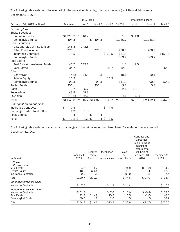The following table sets forth by level, within the fair value hierarchy, the plans' assets (liabilities) at fair value at December 31, 2013.

|                               |                   | U.S. Plans                                      |                    |                   |                   | <b>International Plans</b> |                    |                    |  |
|-------------------------------|-------------------|-------------------------------------------------|--------------------|-------------------|-------------------|----------------------------|--------------------|--------------------|--|
| December 31, 2013 (millions)  | <b>Fair Value</b> | Level 1                                         | Level <sub>2</sub> | Level 3           | <b>Fair Value</b> | Level 1                    | Level <sub>2</sub> | Level <sub>3</sub> |  |
| Pension plans                 |                   |                                                 |                    |                   |                   |                            |                    |                    |  |
| <b>Equity Securities</b>      |                   |                                                 |                    |                   |                   |                            |                    |                    |  |
| <b>Common Stocks</b>          |                   | \$1,916.2 \$1,916.2                             |                    |                   | \$<br>1.8         | \$1.8                      |                    |                    |  |
| Commingled Funds              | 494.3             | \$                                              | 494.3              |                   | 1,046.7           |                            | \$1,046.7          |                    |  |
| Debt Securities               |                   |                                                 |                    |                   |                   |                            |                    |                    |  |
| U.S. and UK Govt. Securities  | 148.8             | 148.8                                           |                    |                   |                   |                            |                    |                    |  |
| Other Fixed Income            | 978.1             |                                                 | 978.1              |                   | 268.9             |                            | 268.9              |                    |  |
| Insurance Contracts           | 79.5              |                                                 |                    | \$79.5            | 151.3             |                            |                    | \$151.3            |  |
| Commingled Funds              |                   |                                                 |                    |                   | 983.7             |                            | 983.7              |                    |  |
| <b>Real Estate</b>            |                   |                                                 |                    |                   |                   |                            |                    |                    |  |
| Real Estate Investment Trusts | 145.7             | 145.7                                           |                    |                   | 1.3               | 1.3                        |                    |                    |  |
| <b>Real Estate</b>            | 34.7              |                                                 |                    | 34.7              | 42.8              |                            |                    | 42.8               |  |
| Other                         |                   |                                                 |                    |                   |                   |                            |                    |                    |  |
| <b>Derivatives</b>            | (4.2)             | (4.5)                                           | .3                 |                   | 19.1              |                            | 19.1               |                    |  |
| Private Equity                | 16.5              |                                                 |                    | 16.5              |                   |                            |                    |                    |  |
| <b>Commingled Funds</b>       | 93.3              |                                                 | 93.3               |                   | 141.0             |                            | 90.8               | 50.2               |  |
| Pooled Funds                  | 236.1             |                                                 | 236.1              |                   | 3.2               |                            | 3.2                |                    |  |
| Cash                          | 5.7               | 5.7                                             |                    |                   | 22.1              | 22.1                       |                    |                    |  |
| Receivables                   | 45.5              | 45.5                                            |                    |                   |                   |                            |                    |                    |  |
| Payables                      | (142.2)           | (142.2)                                         |                    |                   | (.1)              | (.1)                       |                    |                    |  |
| Total                         |                   | \$4,048.0 \$2,115.2 \$1,802.1 \$130.7 \$2,681.8 |                    |                   |                   | \$25.1                     | \$2,412.4          | \$244.3            |  |
| Other postretirement plans    |                   |                                                 |                    |                   |                   |                            |                    |                    |  |
| <b>Insurance Contracts</b>    | \$<br>7.5         |                                                 |                    | \$<br>7.5         |                   |                            |                    |                    |  |
| Exchange Traded Fund - Bond   | 1.3 <sup>5</sup>  | 1.3                                             |                    |                   |                   |                            |                    |                    |  |
| Pooled Funds                  | .4                | \$                                              | .4                 |                   |                   |                            |                    |                    |  |
| Total                         | \$<br>$9.2$ \$    | 1.3 <sup>5</sup>                                |                    | $.4 \,$ \$<br>7.5 |                   |                            |                    |                    |  |

The following table sets forth a summary of changes in the fair value of the plans' Level 3 assets for the year ended December 31, 2014.

| (millions)                  | January 1,<br>2014 | Realized<br>gains<br>(losses) | Purchases<br>or<br>acquisitions | <b>Sales</b><br>or<br>dispositions | Currency and<br>unrealized<br>gains (losses)<br>relating to<br>instruments<br>still held at<br>December 31,<br>2014 | December 31,<br>2014 |
|-----------------------------|--------------------|-------------------------------|---------------------------------|------------------------------------|---------------------------------------------------------------------------------------------------------------------|----------------------|
| U.S. plans                  |                    |                               |                                 |                                    |                                                                                                                     |                      |
| Pension plan                |                    |                               |                                 |                                    |                                                                                                                     |                      |
| <b>Real Estate</b>          | \$34.7             | \$4.7                         |                                 | \$ (4.9)                           | \$<br>(.3)                                                                                                          | \$34.2               |
| Private Equity              | 16.5               | (24.4)                        |                                 | (6.7)                              | 27.4                                                                                                                | 12.8                 |
| Insurance Contracts         | 79.5               | .1                            |                                 | (63.0)                             | .8                                                                                                                  | 17.4                 |
| Total                       | \$130.7            | \$(19.6)                      |                                 | \$(74.6)                           | \$27.9                                                                                                              | \$64.4               |
| Other postretirement plans  |                    |                               |                                 |                                    |                                                                                                                     |                      |
| Insurance Contracts         | \$<br>7.5          |                               | \$<br>$.2\phantom{0}$           | \$<br>(.4)                         |                                                                                                                     | \$<br>7.3            |
| International pension plans |                    |                               |                                 |                                    |                                                                                                                     |                      |
| Insurance Contracts         | \$151.3            |                               | \$7.0                           | \$(13.0)                           | \$ (9.8)                                                                                                            | \$135.5              |
| <b>Real Estate</b>          | 42.8               | \$<br>(.2)                    | 15.3                            | (15.5)                             | (1.6)                                                                                                               | 40.8                 |
| Commingled Funds            | 50.2               | .1                            | 1.0                             | (.3)                               | (.3)                                                                                                                | 50.7                 |
| Total                       | \$244.3            | \$<br>(.1)                    | \$23.3                          | $$^{(28.8)}$                       | \$(11.7)                                                                                                            | \$227.0              |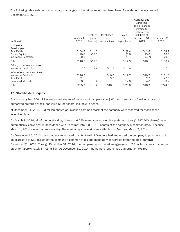The following table sets forth a summary of changes in the fair value of the plans' Level 3 assets for the year ended December 31, 2013.

| (millions)                                         | January 1,<br>2013 | Realized<br>gains<br>(losses) | Purchases<br>or<br>acquisitions | Sales<br>or<br>dispositions | Currency and<br>unrealized<br>gains (losses)<br>relating to<br>instruments<br>still held at<br>December 31,<br>2013 | December 31,<br>2013 |
|----------------------------------------------------|--------------------|-------------------------------|---------------------------------|-----------------------------|---------------------------------------------------------------------------------------------------------------------|----------------------|
| U.S. plans                                         |                    |                               |                                 |                             |                                                                                                                     |                      |
| Pension plan                                       |                    |                               |                                 |                             |                                                                                                                     |                      |
| <b>Real Estate</b>                                 | \$34.8             | Ś.<br>.5                      |                                 | \$ (2.4)                    | \$1.8                                                                                                               | Ŝ.<br>34.7           |
| Private Equity                                     | 20.8               | (17.5)                        |                                 | (5.8)                       | 19.0                                                                                                                | 16.5                 |
| Insurance Contracts                                | 90.9               |                               |                                 | (6.7)                       | (4.7)                                                                                                               | 79.5                 |
| Total                                              | \$146.5            | \$(17.0)                      |                                 | \$(14.9)                    | \$16.1                                                                                                              | \$130.7              |
| Other postretirement plans<br>Insurance Contracts  | \$<br>7.9          | \$<br>(.2)                    | \$<br>$\cdot$ .2                | \$<br>(.4)                  |                                                                                                                     | \$<br>7.5            |
| International pension plans<br>Insurance Contracts | \$146.7            |                               | \$6.6                           | \$(12.7)                    | \$10.7                                                                                                              | \$151.3              |
| <b>Real Estate</b>                                 | 31.1               |                               | 9.5                             |                             | 2.2                                                                                                                 | 42.8                 |
| Commingled Funds                                   | 58.1               | \$<br>.4                      |                                 | (12.3)                      | 4.0                                                                                                                 | 50.2                 |
| Total                                              | \$235.9            | \$<br>.4                      | \$16.1                          | $$^{(25.0)}$$               | \$16.9                                                                                                              | \$244.3              |

#### **17. Stockholders' equity**

The company has 100 million authorized shares of common stock, par value \$.01 per share, and 40 million shares of authorized preferred stock, par value \$1 per share, issuable in series.

At December 31, 2014, 6.3 million shares of unissued common stock of the company were reserved for stock-based incentive plans.

On March 1, 2014, all of the outstanding shares of 6.25% mandatory convertible preferred stock (2,587,400 shares) were automatically converted (in accordance with its terms) into 6,912,756 shares of the company's common stock. Because March 1, 2014 was not a business day, the mandatory conversion was effected on Monday, March 3, 2014.

On December 10, 2012, the company announced that its Board of Directors had authorized the company to purchase up to an aggregate of \$50 million of the company's common stock and mandatory convertible preferred stock through December 31, 2014. Through December 31, 2014, the company repurchased an aggregate of 2.2 million shares of common stock for approximately \$47.3 million. At December 31, 2014, the Board's repurchase authorization expired.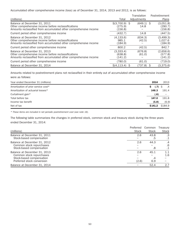Accumulated other comprehensive income (loss) as of December 31, 2014, 2013 and 2012, is as follows:

|                                                                                                                                                         |                                       | Translation          | Postretirement                   |
|---------------------------------------------------------------------------------------------------------------------------------------------------------|---------------------------------------|----------------------|----------------------------------|
| (millions)                                                                                                                                              | Total                                 | Adjustments          | Plans                            |
| Balance at December 31, 2011<br>Other comprehensive income before reclassifications<br>Amounts reclassified from accumulated other comprehensive income | $$(3,700.9)$ \$<br>(275.9)<br>(156.8) | $(649.1)$ \$<br>14.8 | (3,051.8)<br>(290.7)<br>(156.8)  |
| Current period other comprehensive income                                                                                                               | (432.7)                               | 14.8                 | (447.5)                          |
| Balance at December 31, 2012<br>Other comprehensive income before reclassifications<br>Amounts reclassified from accumulated other comprehensive income | (4, 133.6)<br>985.1<br>(184.9)        | (634.3)<br>(42.5)    | (3, 499.3)<br>1,027.6<br>(184.9) |
| Current period other comprehensive income                                                                                                               | 800.2                                 | (42.5)               | 842.7                            |
| Balance at December 31, 2013<br>Other comprehensive income before reclassifications<br>Amounts reclassified from accumulated other comprehensive income | (3,333.4)<br>(638.8)<br>(141.2)       | (676.8)<br>(61.0)    | (2,656.6)<br>(577.8)<br>(141.2)  |
| Current period other comprehensive income                                                                                                               | (780.0)                               | (61.0)               | (719.0)                          |
| Balance at December 31, 2014                                                                                                                            | $S(4.113.4)$ S                        | (737.8)              | (3,375.6)                        |

Amounts related to postretirement plans not reclassified in their entirety out of accumulated other comprehensive income were as follows:

| Year ended December 31 (millions)   | 2014            | 2013       |
|-------------------------------------|-----------------|------------|
| Amortization of prior service cost* | $$(.7)$ \$      | $\cdot$ .4 |
| Amortization of actuarial losses*   | 148.3           | 191.4      |
| Curtailment gain $*$                | (.6)            |            |
| Total before tax                    | 147.0           | 191.8      |
| Income tax benefit                  | (5.8)           | (6.9)      |
| Net of tax                          | \$141.2 \$184.9 |            |

*\* These items are included in net periodic postretirement cost (see note 16).*

The following table summarizes the changes in preferred stock, common stock and treasury stock during the three years ended December 31, 2014:

|                                                                                                                    | Preferred    | Common            | Treasury       |
|--------------------------------------------------------------------------------------------------------------------|--------------|-------------------|----------------|
| (millions)                                                                                                         | <b>Stock</b> | <b>Stock</b>      | <b>Stock</b>   |
| Balance at December 31, 2011<br>Stock-based compensation                                                           | 2.6          | 43.8<br>.5        | .3             |
| Balance at December 31, 2012<br>Common stock repurchases<br>Stock-based compensation                               | 2.6          | 44.3<br>.8        | .4<br>.6       |
| Balance at December 31, 2013<br>Common stock repurchases<br>Stock-based compensation<br>Preferred stock conversion | 2.6<br>(2.6) | 45.1<br>.4<br>6.9 | $1.1\,$<br>1.6 |
| Balance at December 31, 2014                                                                                       |              | 52.4              | 2.7            |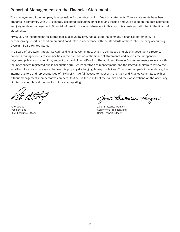### **Report of Management on the Financial Statements**

The management of the company is responsible for the integrity of its financial statements. These statements have been prepared in conformity with U.S. generally accepted accounting principles and include amounts based on the best estimates and judgments of management. Financial information included elsewhere in this report is consistent with that in the financial statements.

KPMG LLP, an independent registered public accounting firm, has audited the company's financial statements. Its accompanying report is based on an audit conducted in accordance with the standards of the Public Company Accounting Oversight Board (United States).

The Board of Directors, through its Audit and Finance Committee, which is composed entirely of independent directors, oversees management's responsibilities in the preparation of the financial statements and selects the independent registered public accounting firm, subject to stockholder ratification. The Audit and Finance Committee meets regularly with the independent registered public accounting firm, representatives of management, and the internal auditors to review the activities of each and to assure that each is properly discharging its responsibilities. To ensure complete independence, the internal auditors and representatives of KPMG LLP have full access to meet with the Audit and Finance Committee, with or without management representatives present, to discuss the results of their audits and their observations on the adequacy of internal controls and the quality of financial reporting.

Chief Executive Officer Chief Financial Officer Chief Financial Officer

Janet Brutschea Haugen

Peter Altabef Janet Brutschea Haugen President and Senior Vice President and Senior Vice President and Senior Vice President and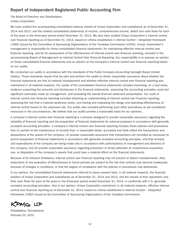### **Report of Independent Registered Public Accounting Firm**

The Board of Directors and Stockholders Unisys Corporation:

We have audited the accompanying consolidated balance sheets of Unisys Corporation and subsidiaries as of December 31, 2014 and 2013, and the related consolidated statements of income, comprehensive income, deficit and cash flows for each of the years in the three-year period ended December 31, 2014. We also have audited Unisys Corporation's internal control over financial reporting as of December 31, 2014, based on criteria established in *Internal Control – Integrated Framework (1992)* issued by the Committee of Sponsoring Organizations of the Treadway Commission (COSO). Unisys Corporation's management is responsible for these consolidated financial statements, for maintaining effective internal control over financial reporting, and for its assessment of the effectiveness of internal control over financial reporting, included in the accompanying Report of Management on Internal Control Over Financial Reporting. Our responsibility is to express an opinion on these consolidated financial statements and an opinion on the Company's internal control over financial reporting based on our audits.

We conducted our audits in accordance with the standards of the Public Company Accounting Oversight Board (United States). Those standards require that we plan and perform the audits to obtain reasonable assurance about whether the financial statements are free of material misstatement and whether effective internal control over financial reporting was maintained in all material respects. Our audits of the consolidated financial statements included examining, on a test basis, evidence supporting the amounts and disclosures in the financial statements, assessing the accounting principles used and significant estimates made by management, and evaluating the overall financial statement presentation. Our audit of internal control over financial reporting included obtaining an understanding of internal control over financial reporting, assessing the risk that a material weakness exists, and testing and evaluating the design and operating effectiveness of internal control based on the assessed risk. Our audits also included performing such other procedures as we considered necessary in the circumstances. We believe that our audits provide a reasonable basis for our opinions.

A company's internal control over financial reporting is a process designed to provide reasonable assurance regarding the reliability of financial reporting and the preparation of financial statements for external purposes in accordance with generally accepted accounting principles. A company's internal control over financial reporting includes those policies and procedures that (1) pertain to the maintenance of records that, in reasonable detail, accurately and fairly reflect the transactions and dispositions of the assets of the company; (2) provide reasonable assurance that transactions are recorded as necessary to permit preparation of financial statements in accordance with generally accepted accounting principles, and that receipts and expenditures of the company are being made only in accordance with authorizations of management and directors of the company; and (3) provide reasonable assurance regarding prevention or timely detection of unauthorized acquisition, use, or disposition of the company's assets that could have a material effect on the financial statements.

Because of its inherent limitations, internal control over financial reporting may not prevent or detect misstatements. Also, projections of any evaluation of effectiveness to future periods are subject to the risk that controls may become inadequate because of changes in conditions, or that the degree of compliance with the policies or procedures may deteriorate.

In our opinion, the consolidated financial statements referred to above present fairly, in all material respects, the financial position of Unisys Corporation and subsidiaries as of December 31, 2014 and 2013, and the results of their operations and their cash flows for each of the years in the three-year period ended December 31, 2014, in conformity with U.S. generally accepted accounting principles. Also in our opinion, Unisys Corporation maintained, in all material respects, effective internal control over financial reporting as of December 31, 2014, based on criteria established in *Internal Control – Integrated Framework (1992)* issued by the Committee of Sponsoring Organizations of the Treadway Commission.

KPMG LLP

Philadelphia, Pennsylvania February 23, 2015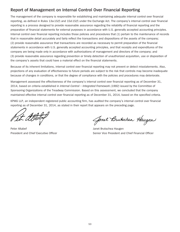### **Report of Management on Internal Control Over Financial Reporting**

The management of the company is responsible for establishing and maintaining adequate internal control over financial reporting, as defined in Rules 13a-15(f) and 15d-15(f) under the Exchange Act. The company's internal control over financial reporting is a process designed to provide reasonable assurance regarding the reliability of financial reporting and the preparation of financial statements for external purposes in accordance with U.S. generally accepted accounting principles. Internal control over financial reporting includes those policies and procedures that (1) pertain to the maintenance of records that in reasonable detail accurately and fairly reflect the transactions and dispositions of the assets of the company; (2) provide reasonable assurance that transactions are recorded as necessary to permit preparation of the financial statements in accordance with U.S. generally accepted accounting principles, and that receipts and expenditures of the company are being made only in accordance with authorizations of management and directors of the company; and (3) provide reasonable assurance regarding prevention or timely detection of unauthorized acquisition, use or disposition of the company's assets that could have a material effect on the financial statements.

Because of its inherent limitations, internal control over financial reporting may not prevent or detect misstatements. Also, projections of any evaluation of effectiveness to future periods are subject to the risk that controls may become inadequate because of changes in conditions, or that the degree of compliance with the policies and procedures may deteriorate.

Management assessed the effectiveness of the company's internal control over financial reporting as of December 31, 2014, based on criteria established in *Internal Control – Integrated Framework (1992)* issued by the Committee of Sponsoring Organizations of the Treadway Commission. Based on this assessment, we concluded that the company maintained effective internal control over financial reporting as of December 31, 2014, based on the specified criteria.

KPMG LLP, an independent registered public accounting firm, has audited the company's internal control over financial reporting as of December 31, 2014, as stated in their report that appears on the preceding page.

Peter Altabef Janet Brutschea Haugen

Jonet Brutschea Haugen

President and Chief Executive Officer Senior Vice President and Chief Financial Officer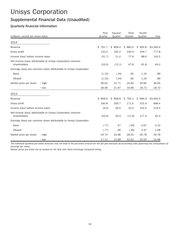### **Supplemental Financial Data (Unaudited)**

#### **Quarterly financial information**

|                                                                             | First   | Second  | Third   | Fourth  |           |
|-----------------------------------------------------------------------------|---------|---------|---------|---------|-----------|
| (millions, except per share data)                                           | Quarter | Quarter | Quarter | Quarter | Year      |
| 2014                                                                        |         |         |         |         |           |
| Revenue                                                                     | \$761.7 | \$806.4 | \$882.5 | \$905.8 | \$3,356.4 |
| Gross profit                                                                | 133.0   | 165.2   | 234.9   | 244.7   | 777.8     |
| Income (loss) before income taxes                                           | (31.7)  | 11.0    | 77.6    | 88.6    | 145.5     |
| Net income (loss) attributable to Unisys Corporation common<br>shareholders | (53.5)  | (12.1)  | 47.8    | 61.8    | 44.0      |
| Earnings (loss) per common share attributable to Unisys Corporation         |         |         |         |         |           |
| <b>Basic</b>                                                                | (1.15)  | (.24)   | .95     | 1.24    | .89       |
| <b>Diluted</b>                                                              | (1.15)  | (.24)   | .95     | 1.24    | .89       |
| Market price per share<br>$-$ high                                          | 36.05   | 31.71   | 25.65   | 30.65   | 36.05     |
| $-$ low                                                                     | 28.46   | 21.97   | 19.96   | 18.72   | 18.72     |
| 2013                                                                        |         |         |         |         |           |
| Revenue                                                                     | \$809.9 | \$858.6 | \$792.1 | \$995.9 | \$3,456.5 |
| Gross profit                                                                | 160.8   | 200.7   | 171.5   | 315.4   | 848.4     |
| Income (loss) before income taxes                                           | (6.0)   | 49.5    | 23.5    | 152.4   | 219.4     |
| Net income (loss) attributable to Unisys Corporation common<br>shareholders | (33.9)  | 20.4    | (11.6)  | 117.4   | 92.3      |
| Earnings (loss) per common share attributable to Unisys Corporation         |         |         |         |         |           |
| <b>Basic</b>                                                                | (.77)   | .47     | (.26)   | 2.67    | 2.10      |
| Diluted                                                                     | (.77)   | .46     | (.26)   | 2.37    | 2.08      |
| Market price per share<br>– high                                            | 24.73   | 22.96   | 28.25   | 34.78   | 34.78     |
| $-$ low                                                                     | 17.11   | 15.68   | 22.02   | 23.00   | 15.68     |

*The individual quarterly per-share amounts may not total to the per-share amount for the full year because of accounting rules governing the computation of earnings per share.*

*Market prices per share are as quoted on the New York Stock Exchange composite listing.*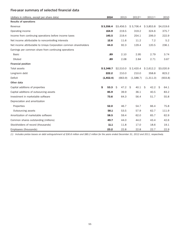### **Five-year summary of selected financial data**

| (dollars in millions, except per share data)                      |    | 2014       | 2013                    | $2012^{(1)}$ | $2011^{(1)}$ | 2010        |
|-------------------------------------------------------------------|----|------------|-------------------------|--------------|--------------|-------------|
| Results of operations                                             |    |            |                         |              |              |             |
| Revenue                                                           |    | \$3,356.4  | \$3,456.5               | \$3,706.4    | \$3,853.8    | \$4,019.6   |
| Operating income                                                  |    | 154.9      | 219.5                   | 319.2        | 324.6        | 375.7       |
| Income from continuing operations before income taxes             |    | 145.5      | 219.4                   | 254.1        | 206.0        | 222.9       |
| Net income attributable to noncontrolling interests               |    | 12.6       | 11.6                    | 11.2         | 7.2          | 5.2         |
| Net income attributable to Unisys Corporation common shareholders |    | 44.0       | 92.3                    | 129.4        | 120.5        | 236.1       |
| Earnings per common share from continuing operations              |    |            |                         |              |              |             |
| <b>Basic</b>                                                      |    | .89        | 2.10                    | 2.95         | 2.79         | 3.74        |
| <b>Diluted</b>                                                    |    | .89        | 2.08                    | 2.84         | 2.71         | 3.67        |
| <b>Financial position</b>                                         |    |            |                         |              |              |             |
| Total assets                                                      |    | \$2,348.7  | \$2,510.0               | \$2,420.4    | \$2,612.2    | \$3,020.9   |
| Long-term debt                                                    |    | 222.2      | 210.0                   | 210.0        | 358.8        | 823.2       |
| Deficit                                                           |    | (1, 452.4) | (663.9)                 | (1,588.7)    | (1,311.0)    | (933.8)     |
| Other data                                                        |    |            |                         |              |              |             |
| Capital additions of properties                                   | Ś. | 53.3       | 47.2 <sup>5</sup><br>Ŝ. | 40.1         | Ŝ.<br>42.2   | - Ś<br>64.1 |
| Capital additions of outsourcing assets                           |    | 85.9       | 39.9                    | 36.1         | 40.5         | 83.2        |
| Investment in marketable software                                 |    | 73.6       | 64.3                    | 56.4         | 51.7         | 55.8        |
| Depreciation and amortization                                     |    |            |                         |              |              |             |
| Properties                                                        |    | 52.0       | 46.7                    | 54.7         | 66.4         | 75.8        |
| Outsourcing assets                                                |    | 58.1       | 53.5                    | 57.9         | 62.7         | 111.9       |
| Amortization of marketable software                               |    | 58.5       | 59.4                    | 62.0         | 65.7         | 62.9        |
| Common shares outstanding (millions)                              |    | 49.7       | 44.0                    | 44.0         | 43.4         | 42.6        |
| Stockholders of record (thousands)                                |    | 11.1       | 11.8                    | 17.0         | 18.6         | 19.1        |
| Employees (thousands)                                             |    | 23.2       | 22.8                    | 22.8         | 22.7         | 22.9        |

*(1) Includes pretax losses on debt extinguishment of \$30.6 million and \$85.2 million for the years ended December 31, 2012 and 2011, respectively.*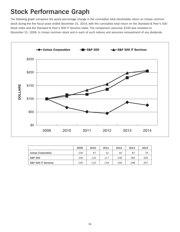# **Stock Performance Graph**

The following graph compares the yearly percentage change in the cumulative total stockholder return on Unisys common stock during the five fiscal years ended December 31, 2014, with the cumulative total return on the Standard & Poor's 500 Stock Index and the Standard & Poor's 500 IT Services Index. The comparison assumes \$100 was invested on December 31, 2009, in Unisys common stock and in each of such indices and assumes reinvestment of any dividends.



|                     | 2009 | 2010 | 2011 | 2012 | 2013 | 2014 |
|---------------------|------|------|------|------|------|------|
| Unisys Corporation  | 100  | 67   | 51   | 45   | 87   | 76   |
| <b>S&amp;P 500</b>  | 100  | 115  | 117  | 136  | 180  | 205  |
| S&P 500 IT Services | 100  | 110  | 133  | 156  | 198  | 207  |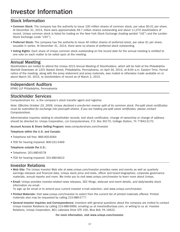# **Investor Information**

### **Stock Information**

- **Common Stock:** The company has the authority to issue 100 million shares of common stock, par value \$0.01 per share. At December 31, 2014, there were approximately 49.7 million shares outstanding and about 11,070 stockholders of record. Unisys common stock is listed for trading on the New York Stock Exchange (trading symbol "UIS") and the London Stock Exchange (code "USY").
- **Preferred Stock:** The company has the authority to issue 40 million shares of preferred stock, par value \$1 per share, issuable in series. At December 31, 2014, there were no shares of preferred stock outstanding.
- **Voting Rights:** Each share of Unisys common stock outstanding on the record date for the annual meeting is entitled to one vote on each matter to be voted upon at the meeting.

#### **Annual Meeting**

Stockholders are invited to attend the Unisys 2015 Annual Meeting of Stockholders, which will be held at the Philadelphia Marriott Downtown at 1201 Market Street, Philadelphia, Pennsylvania, on April 30, 2015, at 8:00 a.m. Eastern Time. Formal notice of the meeting, along with the proxy statement and proxy materials, was mailed or otherwise made available on or about March 20, 2015, to stockholders of record as of March 2, 2015.

### **Independent Auditors**

KPMG LLP Philadelphia, Pennsylvania

#### **Stockholder Services**

Computershare Inc. is the company's stock transfer agent and registrar.

*Note: Effective October 23, 2009, Unisys declared a one-for-ten reverse split of its common stock. Pre-split stock certificates must be submitted for exchange into post-split shares. If you are holding pre-split stock certificates, please contact Computershare.*

Administrative inquiries relating to stockholder records, lost stock certificates, change of ownership or change of address should be directed to: Unisys Corporation, c/o Computershare, P.O. Box 30170, College Station, TX 77842-3170.

**Account Access & Share Selling Program:** www.computershare.com/investor

**Telephone within the U.S. and Canada:**

- Telephone toll free: 866-405-6564
- TDD for hearing impaired: 800-231-5469

**Telephone outside the U.S.:**

- Telephone: 201-680-6578
- TDD for hearing impaired: 201-680-6610

#### **Investor Relations**

- **Web Site:** The Unisys Investor Web site at www.unisys.com/investor provides news and events as well as quarterly earnings releases and financial data, Unisys stock price and tools, officer and board biographies, corporate governance materials, annual reports and more. We invite you to visit www.unisys.com/investor to learn more about Unisys.
- **Email:** Unisys provides investor-related news releases, SEC filings, webcast and event details, and daily/weekly stock information via email.

To sign up for email or to amend your current investor e-mail selection, visit www.unisys.com/investor.

- **Printed Materials:** Visit www.unisys.com/investor to select from the current list of printed materials offered. Printed materials also may be requested by calling 215-986-5777.
- **General Investor Inquiries and Correspondence:** Investors with general questions about the company are invited to contact Unisys Investor Relations by calling 215-986-6999, emailing us at investor@unisys.com, or writing to us at: Investor Relations, Unisys Corporation, 801 Lakeview Drive STE 100, Blue Bell, PA 19422.

**For more information, visit www.unisys.com/investor.**